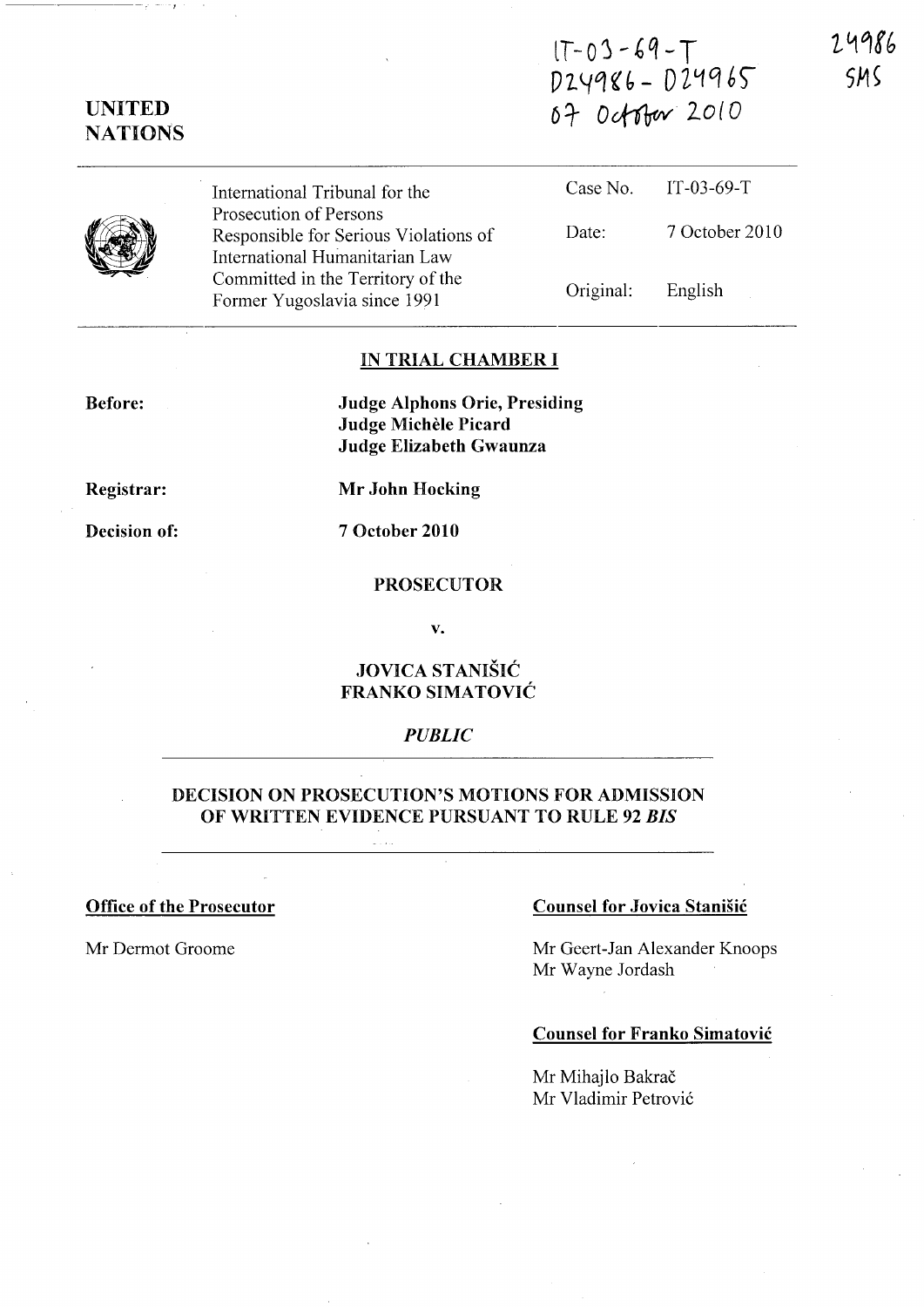# $1 - 03 - 69 - T$ D 2. <-Iq ~ (, - D ll-f *et* 6)" 07 October 2010

24986  $<sub>5</sub>M<sub>5</sub>$ </sub>



UNITED **NATIONS** 

> International Tribunal for the Prosecution of Persons Responsible for Serious Violations of International Humanitarian Law Committed in the Territory of the Former Yugoslavia since 1991

|           | Case No. $IT-03-69-T$ |
|-----------|-----------------------|
| Date:     | 7 October 2010        |
| Original: | English               |

## IN TRIAL CHAMBER I

Before:

Judge Alphons Orie, Presiding Judge Michele Picard Judge Elizabeth Gwaunza

Registrar:

Mr John Hocking

Decision of:

7 October 2010

## PROSECUTOR

v.

# JOVICA STANISIC FRANKO SIMATOVIC

# *PUBLIC*

## DECISION ON PROSECUTION'S MOTIONS FOR ADMISSION OF WRITTEN EVIDENCE PURSUANT TO RULE 92 *BIS*

#### Office of the Prosecutor

Mr Dermot Groome

#### Counsel for Jovica Stanisic

Mr Geert-Jan Alexander Knoops Mr Wayne Jordash

## Counsel for Franko Simatovic

Mr Mihajlo Bakrač Mr Vladimir Petrovi6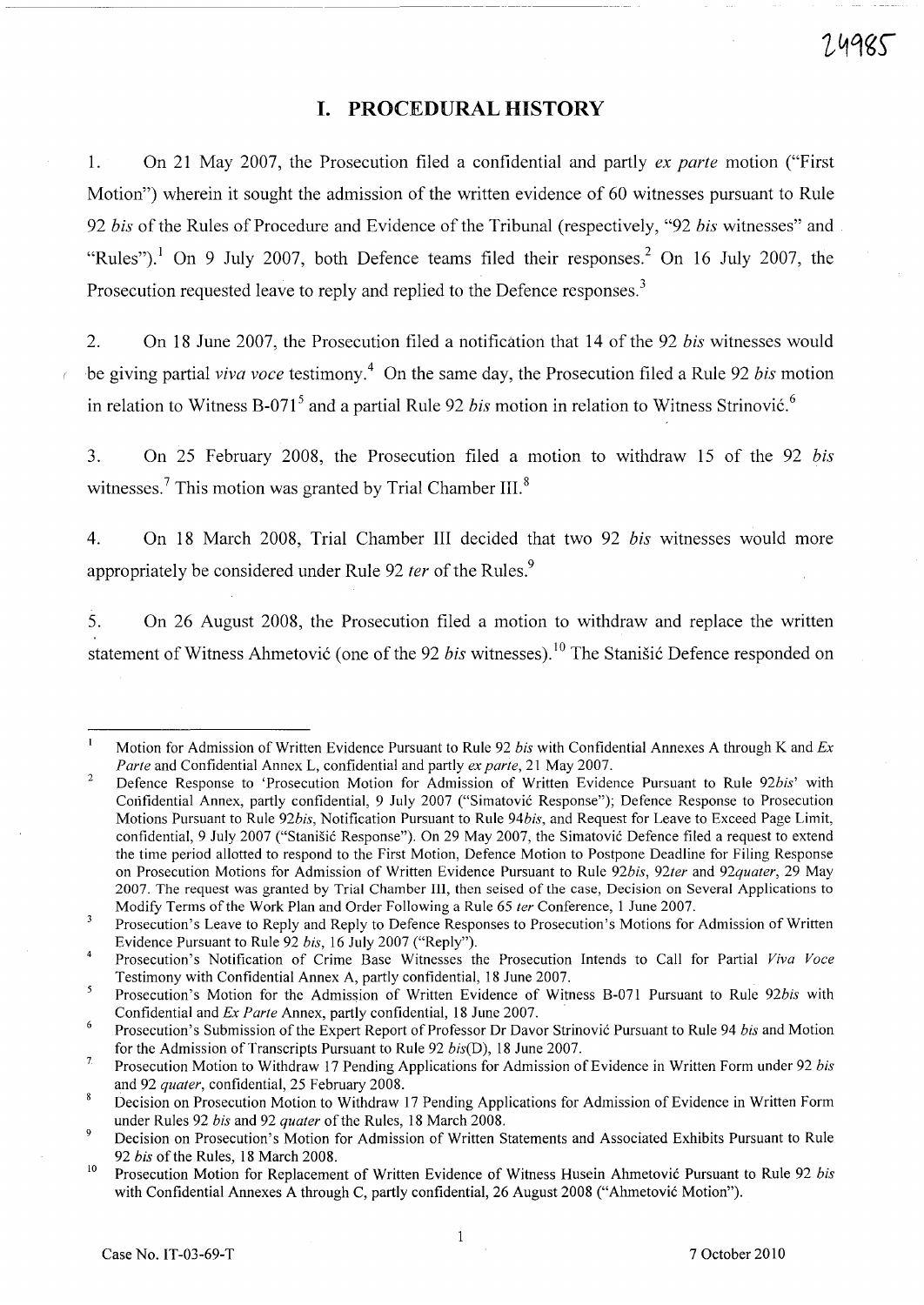# **I. PROCEDURAL HISTORY**

~-----~~--- ----

1. On 21 May 2007, the Prosecution filed a confidential and partly *ex parte* motion ("First Motion") wherein it sought the admission of the written evidence of 60 witnesses pursuant to Rule *92 bis* of the Rules of Procedure and Evidence of the Tribunal (respectively, "92 *bis* witnesses" and "Rules").<sup>1</sup> On 9 July 2007, both Defence teams filed their responses.<sup>2</sup> On 16 July 2007, the Prosecution requested leave to reply and replied to the Defence responses.<sup>3</sup>

2. On 18 June 2007, the Prosecution filed a notification that 14 of the 92 *bis* witnesses would be giving partial *viva voce* testimony.4 On the same day, the Prosecution filed a Rule 92 *bis* motion in relation to Witness B-071<sup>5</sup> and a partial Rule 92 *bis* motion in relation to Witness Strinović.<sup>6</sup>

3. On 25 February 2008, the Prosecution filed a motion to withdraw 15 of the 92 *bis*  witnesses.<sup>7</sup> This motion was granted by Trial Chamber III. $^8$ 

4. On 18 March 2008, Trial Chamber III decided that two 92 *bis* witnesses would more appropriately be considered under Rule 92 *fer* of the Rules.<sup>9</sup>

5. On 26 August 2008, the Prosecution filed a motion to withdraw and replace the written statement of Witness Ahmetović (one of the 92 *bis* witnesses).<sup>10</sup> The Stanisić Defence responded on

Motion for Admission of Written Evidence Pursuant to Rule 92 *bis* with Confidential Annexes A through K and *Ex Parte* and Confidential Annex L, confidential and partly *ex parte,* 21 May 2007.

<sup>2</sup>  Defence Response to 'Prosecution Motion for Admission of Written Evidence Pursuant to Rule *92bis'* with Confidential Annex, partly confidential, 9 July 2007 ("Simatovic Response"); Defence Response to Prosecution Motions Pursuant to Rule *92bis,* Notification Pursuant to Rule *94bis,* and Request for Leave to Exceed Page Limit, confidential, 9 July 2007 ("Stanisic Response"). On 29 May 2007, the Simatovic Defence filed a request to extend the time period allotted to respond to the First Motion, Defence Motion to Postpone Deadline for Filing Response on Prosecution Motions for Admission of Written Evidence Pursuant to Rule *92bis, 92ter* and *92quater,* 29 May 2007. The request was granted by Trial Chamber Ill, then seised of the case, Decision on Several Applications to ModifY Terms of the Work Plan and Order Following a Rule 65 *ter* Conference, 1 June 2007.

 $\overline{3}$ Prosecution's Leave to Reply and Reply to Defence Responses to Prosecution's Motions for Admission of Written Evidence Pursuant to Rule 92 *bis,* 16 July 2007 ("Reply").

 $\overline{4}$ Prosecution's Notification of Crime Base Witnesses the Prosecution Intends to Call for Partial *Viva Voce*  Testimony with Confidential Annex A, partly confidential, 18 June 2007.

<sup>5</sup> Prosecution's Motion for the Admission of Written Evidence of Witness B-071 Pursuant to Rule *92bis* with Confidential and *Ex Parte* Annex, partly confidential, 18 June 2007.

<sup>6</sup> Prosecution's Submission of the Expert Report of Professor Dr Davor Strinovic Pursuant to Rule 94 *bis* and Motion for the Admission of Transcripts Pursuant to Rule 92 *bis(D),* 18 June 2007.

<sup>7</sup>  Prosecution Motion to Withdraw 17 Pending Applications for Admission of Evidence in Written Form under 92 *bis*  and 92 *quater,* confidential, 25 February 2008.

<sup>8</sup> Decision on Prosecution Motion to Withdraw 17 Pending Applications for Admission of Evidence in Written Form under Rules 92 *bis* and 92 *quater* of the Rules, 18 March 2008.

<sup>9</sup>  Decision on Prosecution's Motion for Admission of Written Statements and Associated Exhibits Pursuant to Rule *92 bis* of the Rules, 18 March 2008.

<sup>10</sup>  Prosecution Motion for Replacement of Written Evidence of Witness Husein Ahmetovic Pursuant to Rule 92 *bis*  with Confidential Annexes A through C, partly confidential, 26 August 2008 ("Ahmetovic Motion").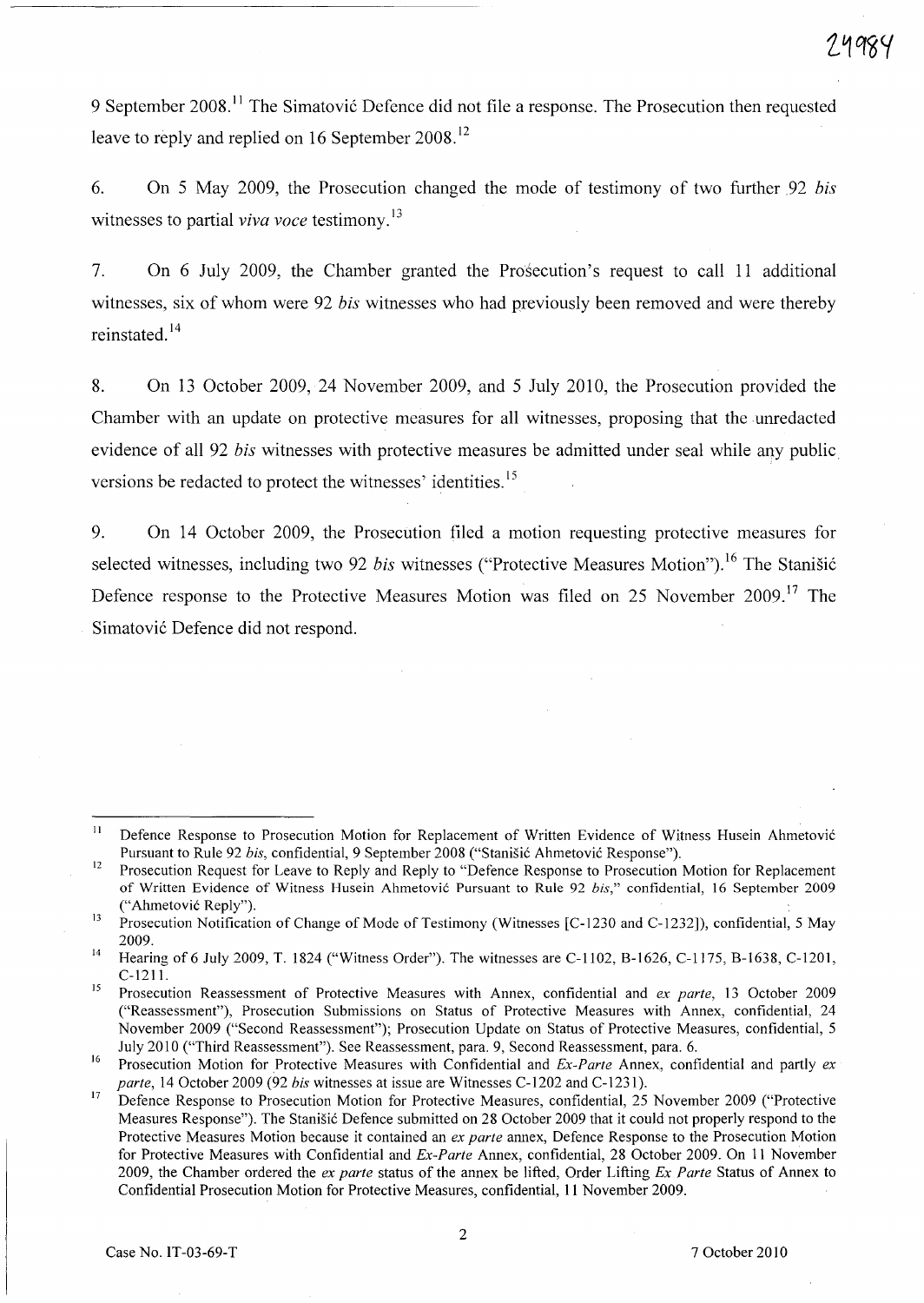9 September 2008.<sup>11</sup> The Simatović Defence did not file a response. The Prosecution then requested leave to reply and replied on 16 September 2008.<sup>12</sup>

6. On 5 May 2009, the Prosecution changed the mode of testimony of two further 92 *bis*  witnesses to partial *viva voce* testimony. 13

7. On 6 July 2009, the Chamber granted the Prosecution's request to call 11 additional witnesses, six of whom were 92 *bis* witnesses who had previously been removed and were thereby reinstated. 14

8. On 13 October 2009, 24 November 2009, and 5 July 2010, the Prosecution provided the Chamber with an update on protective measures for all witnesses, proposing that the unredacted evidence of all 92 *bis* witnesses with protective measures be admitted under seal while any public versions be redacted to protect the witnesses' identities.<sup>15</sup>

9. On 14 October 2009, the Prosecution filed a motion requesting protective measures for selected witnesses, including two 92 *bis* witnesses ("Protective Measures Motion").<sup>16</sup> The Stanišić Defence response to the Protective Measures Motion was filed on 25 November 2009.<sup>17</sup> The Simatović Defence did not respond.

<sup>11</sup>  Defence Response to Prosecution Motion for Replacement of Written Evidence of Witness Husein Ahmetovi6 Pursuant to Rule 92 *bis*, confidential, 9 September 2008 ("Stanišić Ahmetović Response").

<sup>12</sup>  Prosecution Request for Leave to Reply and Reply to "Defence Response to Prosecution Motion for Replacement of Written Evidence of Witness Husein Ahmetovic Pursuant to Rule 92 *his,"* confidential, 16 September 2009 ("Ahmetovi6 Reply").

<sup>13</sup>  Prosecution Notification of Change of Mode of Testimony (Witnesses [C-1230 and C-1232]), confidential, 5 May 2009.

<sup>14</sup>  Hearing of 6 July 2009, T. 1824 ("Witness Order"). The witnesses are C-1102, B-1626, C-1175, B-1638, C-1201, C-1211.

<sup>15</sup>  Prosecution Reassessment of Protective Measures with Annex, confidential and *ex parte,* 13 October 2009 ("Reassessment"), Prosecution Submissions on Status of Protective Measures with Annex, confidential, 24 November 2009 ("Second Reassessment"); Prosecution Update on Status of Protective Measures, confidential, 5 July 2010 ("Third Reassessment"). See Reassessment, para. 9, Second Reassessment, para. 6.

<sup>16</sup>  Prosecution Motion for Protective Measures with Confidential and *Ex-Parte* Annex, confidential and partly *ex parte,* 14 October 2009 (92 *his* witnesses at issue are Witnesses C-1202 and C-1231).

<sup>17</sup>  Defence Response to Prosecution Motion for Protective Measures, confidential, 25 November 2009 ("Protective Measures Response"). The Stanišić Defence submitted on 28 October 2009 that it could not properly respond to the Protective Measures Motion because it contained an *ex parte* annex, Defence Response to the Prosecution Motion for Protective Measures with Confidential and *Ex-Parte* Annex, confidential, 28 October 2009. On 11 November 2009, the Chamber ordered the *ex parte* status of the annex be lifted, Order Lifting *Ex Parte* Status of Annex to Confidential Prosecution Motion for Protective Measures, confidential, 11 November 2009.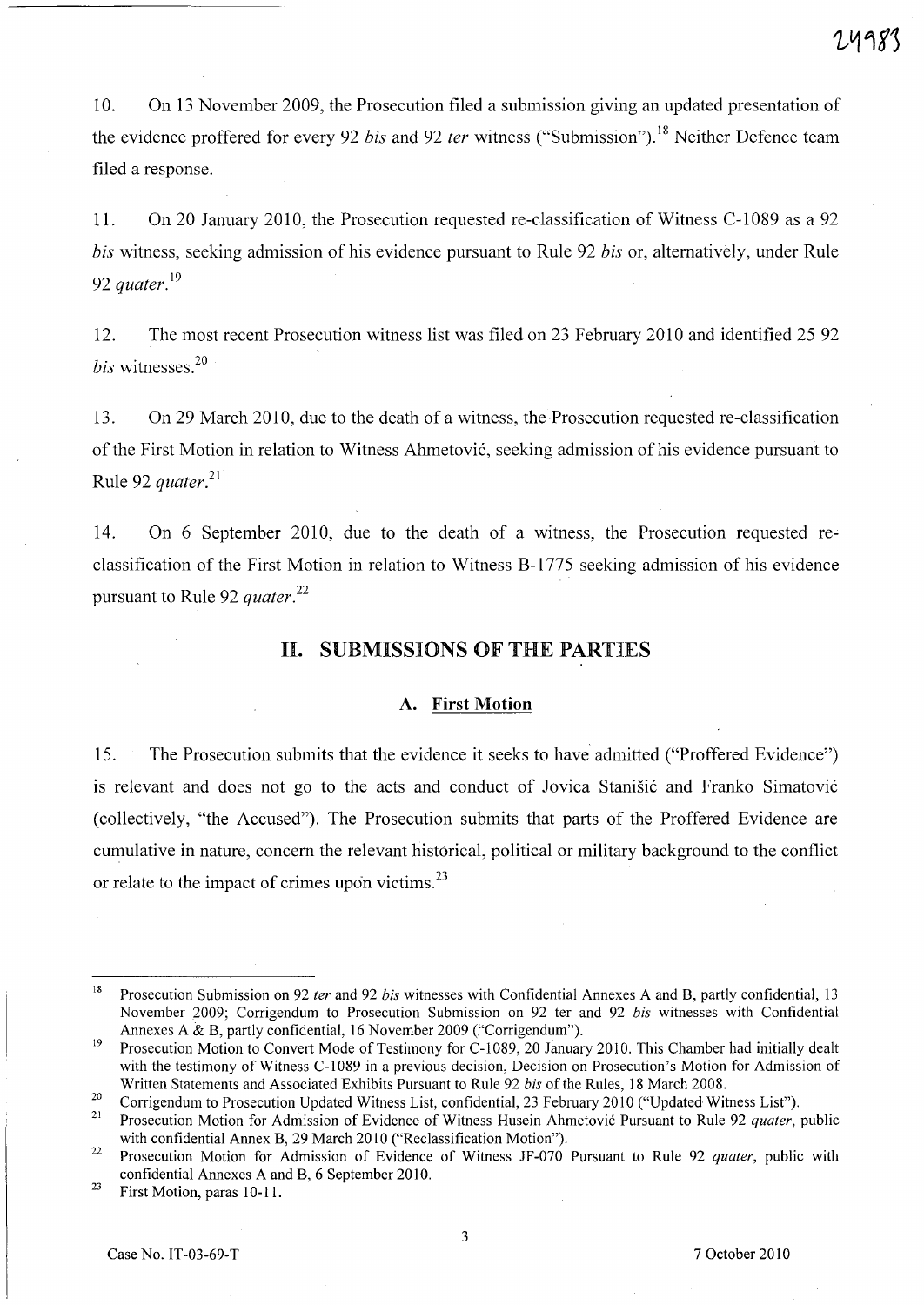10. On 13 November 2009, the Prosecution filed a submission giving an updated presentation of the evidence proffered for every 92 *bis* and 92 *ter* witness ("Submission"). 18 Neither Defence team filed a response.

11. On 20 January 2010, the Prosecution requested re-classification of Witness C-1089 as a 92 *bis* witness, seeking admission of his evidence pursuant to Rule 92 *bis* or, alternatively, under Rule *92 quater.* <sup>19</sup>

12. The most recent Prosecution witness list was filed on 23 February 2010 and identified 25 92 *bis* witnesses.<sup>20</sup>

13. On 29 March 2010, due to the death of a witness, the Prosecution requested re-classification of the First Motion in relation to Witness Ahmetovi6, seeking admission of his evidence pursuant to Rule 92 *quater.21 ·* 

14. On 6 September 2010, due to the death of a witness, the Prosecution requested reclassification of the First Motion in relation to Witness B-1775 seeking admission of his evidence pursuant to Rule 92 *quater.*<sup>22</sup>

# II. SUBMISSIONS OF THE PARTIES

#### A. First Motion

15. The Prosecution submits that the evidence it seeks to have admitted ("Proffered Evidence") is relevant and does not go to the acts and conduct of Jovica Stanišić and Franko Simatović (collectively, "the Accused"). The Prosecution submits that parts of the Proffered Evidence are cumulative in nature, concern the relevant historical, political or military background to the conflict or relate to the impact of crimes upon victims. $^{23}$ 

<sup>18</sup>  Prosecution Submission on 92 *ter* and 92 *bis* witnesses with Confidential Annexes A and B, partly confidential, 13 November 2009; Corrigendum to Prosecution Submission on 92 ter and 92 *bis* witnesses with Confidential Annexes A & B, partly confidential, 16 November 2009 ("Corrigendum").

<sup>19</sup>  Prosecution Motion to Convert Mode of Testimony for C-1089, 20 January 2010. This Chamber had initially dealt with the testimony of Witness C-I089 in a previous decision, Decision on Prosecution's Motion for Admission of Written Statements and Associated Exhibits Pursuant to Rule 92 *bis* of the Rules, 18 March 2008.

<sup>20</sup>  Corrigendum to Prosecution Updated Witness List, confidential, 23 February 2010 ("Updated Witness List").

<sup>21</sup>  Prosecution Motion for Admission of Evidence of Witness Husein Ahmetovic Pursuant to Rule 92 *quater*, public with confidential Annex B, 29 March 2010 ("Reclassification Motion").

<sup>22</sup>  Prosecution Motion for Admission of Evidence of Witness JF-070 Pursuant to Rule 92 *quater,* public with confidential Annexes A and B, 6 September 2010.

<sup>23</sup>  First Motion, paras 10-11.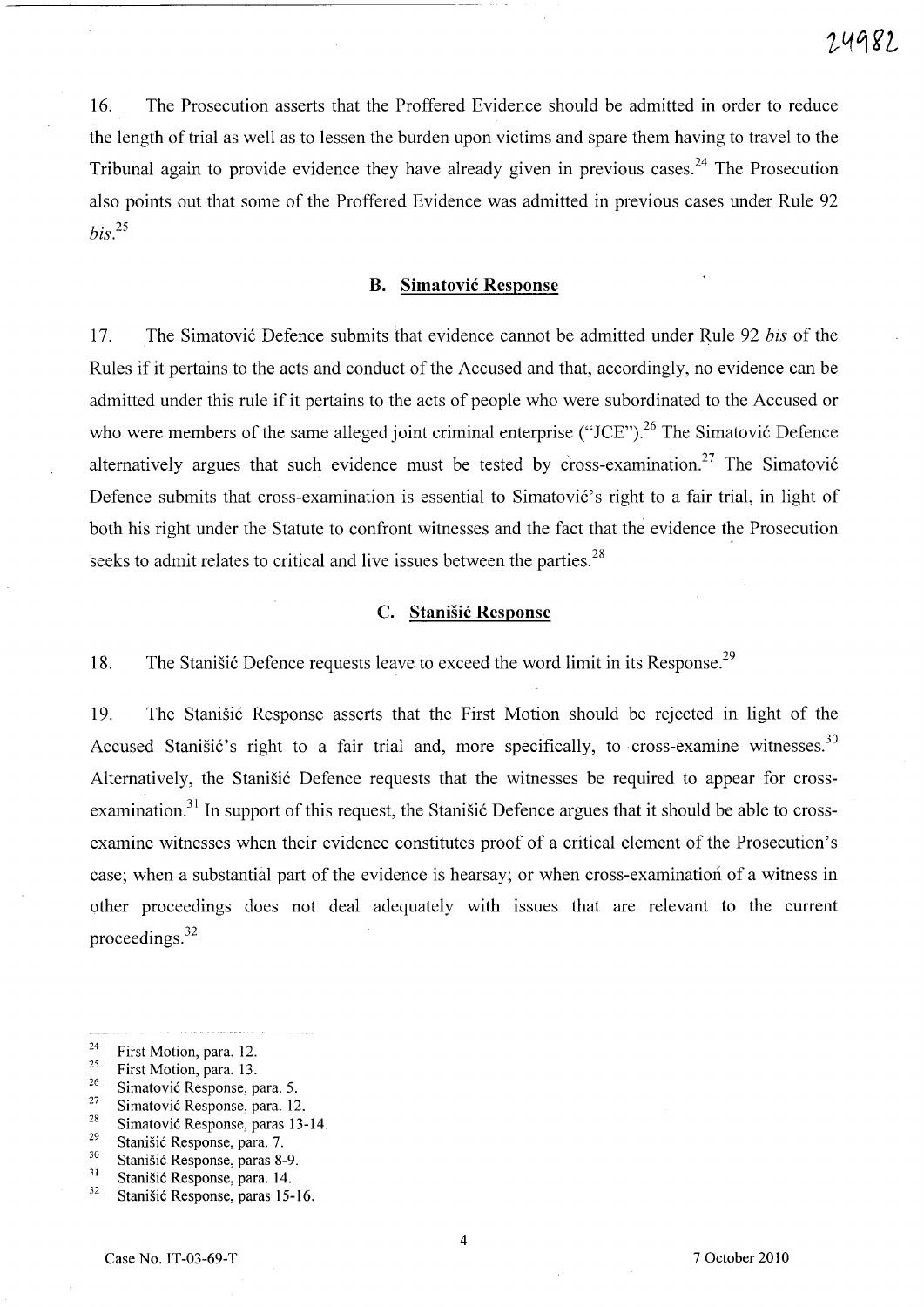16. The Prosecution asserts that the Proffered Evidence should be admitted in order to reduce the length of trial as well as to lessen the burden upon victims and spare them having to travel to the Tribunal again to provide evidence they have already given in previous cases.<sup>24</sup> The Prosecution also points out that some of the Proffered Evidence was admitted in previous cases under Rule 92 *bis?5* 

# **B. Simatovic Response**

17. The Simatovic Defence submits that evidence cannot be admitted under Rule 92 *bis* of the Rules if it pertains to the acts and conduct of the Accused and that, accordingly, no evidence can be admitted under this rule if it pertains to the acts of people who were subordinated to the Accused or who were members of the same alleged joint criminal enterprise ("JCE").<sup>26</sup> The Simatovic Defence alternatively argues that such evidence must be tested by cross-examination.<sup>27</sup> The Simatović Defence submits that cross-examination is essential to Simatović's right to a fair trial, in light of both his right under the Statute to confront witnesses and the fact that the evidence the Prosecution seeks to admit relates to critical and live issues between the parties.<sup>28</sup>

## **c. Stanisic Response**

18. The Stanisic Defence requests leave to exceed the word limit in its Response.<sup>29</sup>

19. The Stanisic Response asserts that the First Motion should be rejected in light of the Accused Stanišić's right to a fair trial and, more specifically, to cross-examine witnesses. $30$ Alternatively, the Stanisic Defence requests that the witnesses be required to appear for crossexamination.<sup>31</sup> In support of this request, the Stanisic Defence argues that it should be able to crossexamine witnesses when their evidence constitutes proof of a critical element of the Prosecution's case; when a substantial part of the evidence is hearsay; or when cross-examination of a witness in other proceedings does not deal adequately with issues that are relevant to the current proceedings. $32$ 

<sup>28</sup> Simatović Response, paras 13-14.

<sup>&</sup>lt;sup>24</sup> First Motion, para. 12.<br><sup>25</sup> First Mation, page 12.

 $\frac{25}{26}$  First Motion, para. 13.

<sup>&</sup>lt;sup>26</sup> Simatović Response, para. 5.<br><sup>27</sup> Simatović Basance, para. 12

<sup>&</sup>lt;sup>27</sup> Simatović Response, para. 12.

<sup>&</sup>lt;sup>29</sup> Stanišić Response, para. 7.<br> $\frac{30}{2}$  Stanišić Perponse, paras 8

 $rac{30}{31}$  Stanišić Response, paras 8-9.

 $\frac{31}{32}$  Stanišić Response, para. 14.

Stanišić Response, paras 15-16.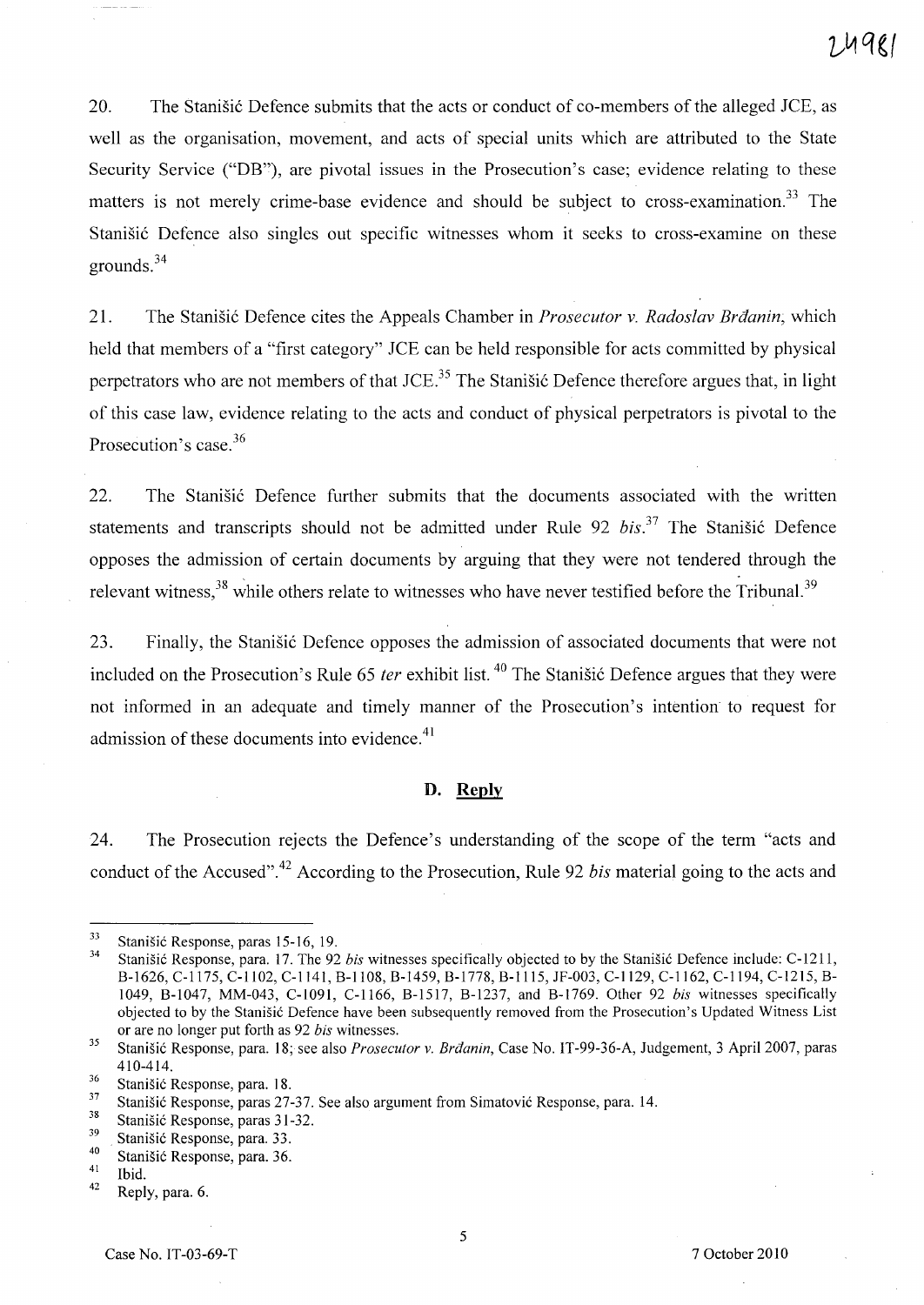20. The Stanisic Defence submits that the acts or conduct of co-members of the alleged *lCE,* as well as the organisation, movement, and acts of special units which are attributed to the State Security Service ("DB"), are pivotal issues in the Prosecution's case; evidence relating to these matters is not merely crime-base evidence and should be subject to cross-examination.<sup>33</sup> The Stanisic Defence also singles out specific witnesses whom it seeks to cross-examine on these grounds. <sup>34</sup>

21. The Stanisic Defence cites the Appeals Chamber in *Prosecutor v. Radoslav Brdanin;* which held that members of a "first category" *lCE* can be held responsible for acts committed by physical perpetrators who are not members of that *lCE.<sup>35</sup>*The Stanisic Defence therefore argues that, in light of this case law, evidence relating to the acts and conduct of physical perpetrators is pivotal to the Prosecution's case.<sup>36</sup>

22. The Stanisic Defence further submits that the documents associated with the written statements and transcripts should not be admitted under Rule 92 *bis*.<sup>37</sup> The Stanisic Defence opposes the admission of certain documents by arguing that they were not tendered through the relevant witness,  $38$  while others relate to witnesses who have never testified before the Tribunal.<sup>39</sup>

23. Finally, the Stanisic Defence opposes the admission of associated documents that were not included on the Prosecution's Rule 65 *ter* exhibit list. 40 The Stanisic Defence argues that they were not informed in an adequate and timely manner of the Prosecution's intention to request for admission of these documents into evidence. $41$ 

#### **D. Reply**

24. The Prosecution rejects the Defence's understanding of the scope of the term "acts and conduct of the Accused".42 According to the Prosecution, Rule 92 *bis* material going to the acts and

<sup>33</sup>  Stanišić Response, paras 15-16, 19.

<sup>34</sup>  Stanišić Response, para. 17. The 92 *bis* witnesses specifically objected to by the Stanišić Defence include: C-1211, *B-1626,* C-1175, C-II02, C-1141, B-I108, *B-1459, B-I778, B-1115,* JF-003, C-1129, C-1162, C-1194, C-1215, B-1049, B-1047, MM-043, C-I091, C-1166, B-1517, *B-1237,* and *B-1769.* Other 92 *bis* witnesses specifically objected to by the Stanišić Defence have been subsequently removed from the Prosecution's Updated Witness List or are no longer put forth as 92 *bis* witnesses.

<sup>35</sup>  Stanišić Response, para. 18; see also *Prosecutor v. Brđanin*, Case No. IT-99-36-A, Judgement, 3 April 2007, paras 410-414.

<sup>36</sup>  Stanišić Response, para. 18.

<sup>37</sup>  Stanišić Response, paras 27-37. See also argument from Simatović Response, para. 14.

<sup>38</sup>  Stanišić Response, paras 31-32.

<sup>39</sup>  Stanišić Response, para. 33.

<sup>40</sup>  Stanišić Response, para. 36.

<sup>41</sup>  Ibid.

<sup>42</sup>  Reply, para. 6.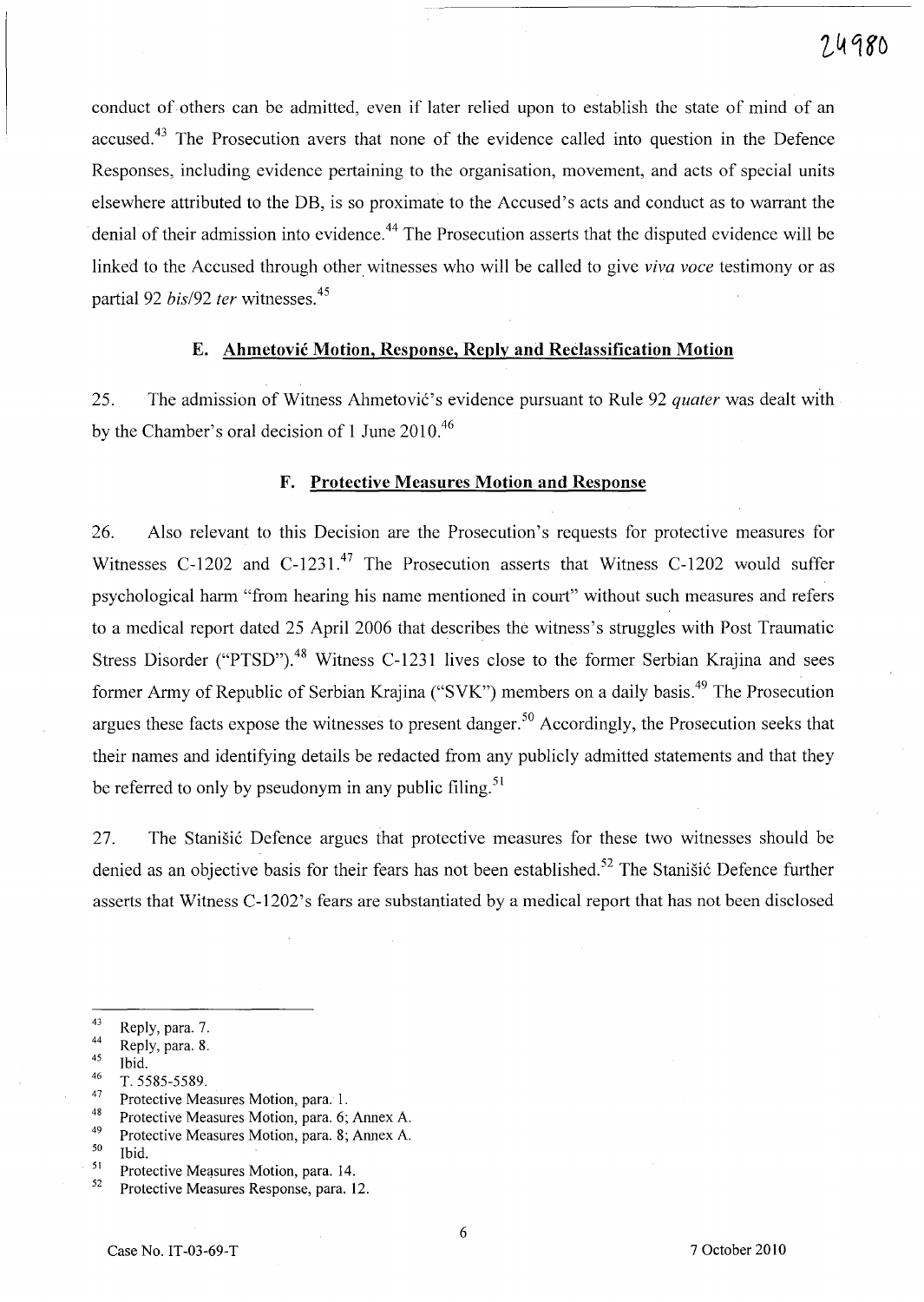conduct of others can be admitted, even if later relied upon to establish the state of mind of an accused.<sup>43</sup> The Prosecution avers that none of the evidence called into question in the Defence Responses, including evidence pertaining to the organisation, movement, and acts of special units elsewhere attributed to the DB, is so proximate to the Accused's acts and conduct as to warrant the denial of their admission into evidence.<sup>44</sup> The Prosecution asserts that the disputed evidence will be linked to the Accused through other witnesses who will be called to give *viva voce* testimony or as partial 92 *bis/92 ter* witnesses.<sup>45</sup>

# E. **Ahmetovic Motion, Response, Reply and Reclassification Motion**

25. The admission of Witness Ahmetović's evidence pursuant to Rule 92 *quater* was dealt with by the Chamber's oral decision of 1 June 2010.<sup>46</sup>

## **F. Protective Measures Motion and Response**

26. Also relevant to this Decision are the Prosecution's requests for protective measures for Witnesses C-1202 and C-1231.<sup>47</sup> The Prosecution asserts that Witness C-1202 would suffer psychological harm "from hearing his name mentioned in court" without such measures and refers to a medical report dated 25 April 2006 that describes the witness's struggles with Post Traumatic Stress Disorder ("PTSD").<sup>48</sup> Witness C-1231 lives close to the former Serbian Krajina and sees former Army of Republic of Serbian Krajina ("SVK") members on a daily basis.<sup>49</sup> The Prosecution argues these facts expose the witnesses to present danger. 5o Accordingly, the Prosecution seeks that their names and identifying details be redacted from any publicly admitted statements and that they be referred to only by pseudonym in any public filing.<sup>51</sup>

27. The Stanisic Defence argues that protective measures for these two witnesses should be denied as an objective basis for their fears has not been established.<sup>52</sup> The Stanišić Defence further asserts that Witness C-1202's fears are substantiated by a medical report that has not been disclosed

- $^{46}$  T. 5585-5589.
- $^{47}$  Protective Measures Motion, para. 1.<br> $^{48}$  Protective Measures Motion, para. 5.
- <sup>48</sup> Protective Measures Motion, para. 6; Annex A.
- <sup>49</sup> Protective Measures Motion, para. 8; Annex A.  $^{50}$  Ibid
- $\frac{50}{51}$  Ibid.
- $51$  Protective Measures Motion, para. 14.

 $^{43}$  Reply, para. 7.

 $^{44}$  Reply, para. 8.

 $\frac{45}{46}$  Ibid.

<sup>52</sup> Protective Measures Response, para. 12.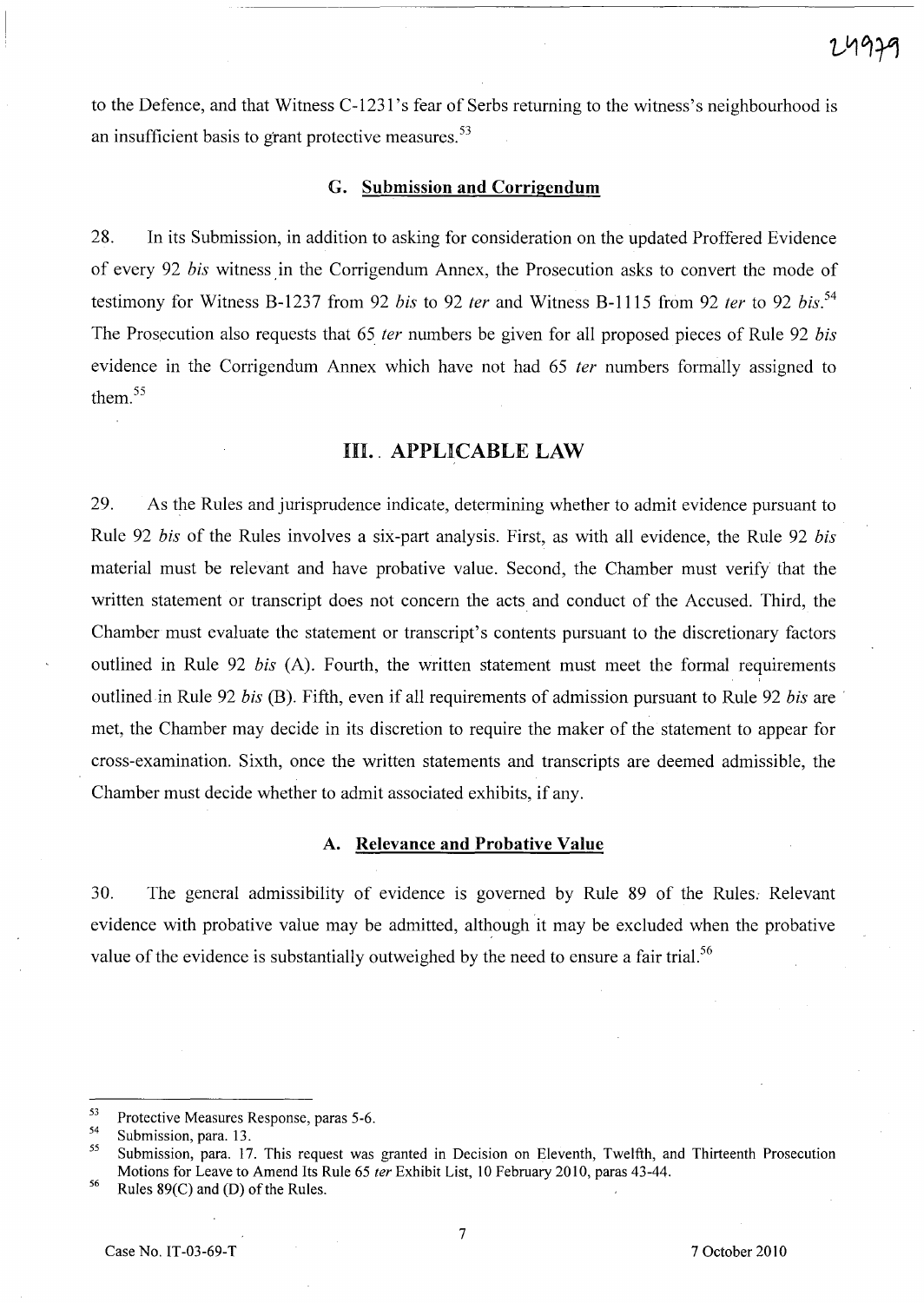to the Defence, and that Witness C-1231's fear of Serbs returning to the witness's neighbourhood is an insufficient basis to grant protective measures.<sup>53</sup>

#### G. Submission and Corrigendum

28. In its Submission, in addition to asking for consideration on the updated Proffered Evidence of every 92 bis witness in the Corrigendum Annex, the Prosecution asks to convert the mode of testimony for Witness B-1237 from 92 bis to 92 ter and Witness B-1115 from 92 ter to 92 bis.<sup>54</sup> The Prosecution also requests that 65 *ter* numbers be given for all proposed pieces of Rule 92 *bis* evidence in the Corrigendum Annex which have not had 65 *ter* numbers formally assigned to them. <sup>55</sup>

## III. APPLICABLE LAW

29. As the Rules and jurisprudence indicate, determining whether to admit evidence pursuant to Rule 92 bis of the Rules involves a six-part analysis. First, as with all evidence, the Rule 92 bis material must be relevant and have probative value. Second, the Chamber must verify that the written statement or transcript does not concern the acts and conduct of the Accused. Third, the Chamber must evaluate the statement or transcript's contents pursuant to the discretionary factors outlined in Rule 92 bis (A). Fourth, the written statement must meet the formal requirements outlined in Rule 92 bis (B). Fifth, even if all requirements of admission pursuant to Rule 92 bis are met, the Chamber may decide in its discretion to require the maker of the statement to appear for cross-examination. Sixth, once the written statements and transcripts are deemed admissible, the Chamber must decide whether to admit associated exhibits, if any.

## A. Relevance and Probative Value

30. The general admissibility of evidence is governed by Rule 89 of the Rules. Relevant evidence with probative value may be admitted, although it may be excluded when the probative value of the evidence is substantially outweighed by the need to ensure a fair trial.<sup>56</sup>

<sup>56</sup> Rules 89(C) and (D) of the Rules.

 $53$  Protective Measures Response, paras 5-6.

 $\frac{54}{55}$  Submission, para. 13.

<sup>55</sup> Submission, para. 17. This request was granted in Decision on Eleventh, Twelfth, and Thirteenth Prosecution Motions for Leave to Amend Its Rule 65 ter Exhibit List, 10 February 2010, paras 43-44.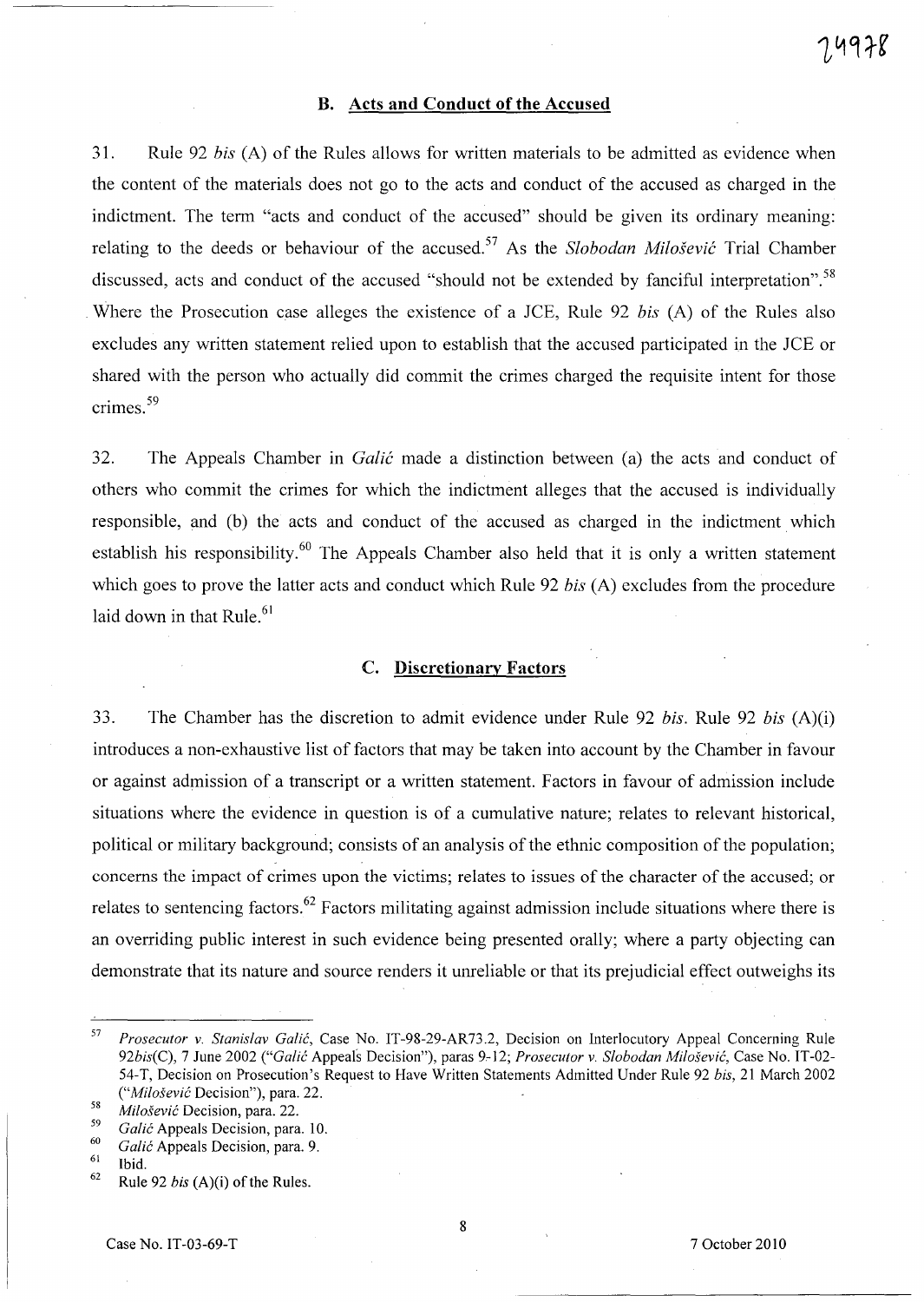#### **B. Acts and Conduct of the Accused**

31. Rule 92 *bis* (A) of the Rules allows for written materials to be admitted as evidence when the content of the materials does not go to the acts and conduct of the accused as charged in the indictment. The term "acts and conduct of the accused" should be given its ordinary meaning: relating to the deeds or behaviour of the accused. 57 As the *Slobodan Milosevic* Trial Chamber discussed, acts and conduct of the accused "should not be extended by fanciful interpretation".<sup>58</sup> Where the Prosecution case alleges the existence of a *JCE*, Rule 92 *bis* (A) of the Rules also excludes any written statement relied upon to establish that the accused participated in the *lCE* or shared with the person who actually did commit the crimes charged the requisite intent for those crimes.<sup>59</sup>

32. The Appeals Chamber in *Galic* made a distinction between (a) the acts and conduct of others who commit the crimes for which the indictment alleges that the accused is individually responsible, and (b) the acts and conduct of the accused as charged in the indictment which establish his responsibility.<sup>60</sup> The Appeals Chamber also held that it is only a written statement which goes to prove the latter acts and conduct which Rule 92 *bis* (A) excludes from the procedure laid down in that Rule. $61$ 

# C. **Discretionary Factors**

33. The Chamber has the discretion to admit evidence under Rule 92 *bis*. Rule 92 *bis* (A)(i) introduces a non-exhaustive list of factors that may be taken into account by the Chamber in favour or against admission of a transcript or a written statement. Factors in favour of admission include situations where the evidence in question is of a cumulative nature; relates to relevant historical, political or military background; consists of an analysis of the ethnic composition of the population; concerns the impact of crimes upon the victims; relates to issues of the character of the accused; or relates to sentencing factors. 62 Factors militating against admission include situations where there is an overriding public interest in such evidence being presented orally; where a party objecting can demonstrate that its nature and source renders it unreliable or that its prejudicial effect outweighs its

*<sup>57</sup> Prosecutor* v. *Stanislav Galic,* Case No. IT-98-29-AR73.2, Decision on Interlocutory Appeal Concerning Rule *92bis(C),* 7 June 2002 *("Galic* Appeals Decision"), paras 9.-12; *Prosecutor* v. *Slobodan Milosevic,* Case No. IT-02- 54-T, Decision on Prosecution's Request to Have Written Statements Admitted Under Rule 92 *bis,* 21 March 2002 *("Milosevic* Decision"), para. 22.

*<sup>58</sup> Milosevic* Decision, para. 22.

*<sup>59</sup> Galic* Appeals Decision, para. 10.

*<sup>60</sup> Galic* Appeals Decision, para. 9.

 $\frac{61}{62}$  Ibid.

<sup>62</sup> Rule 92 *bis* (A)(i) of the Rules.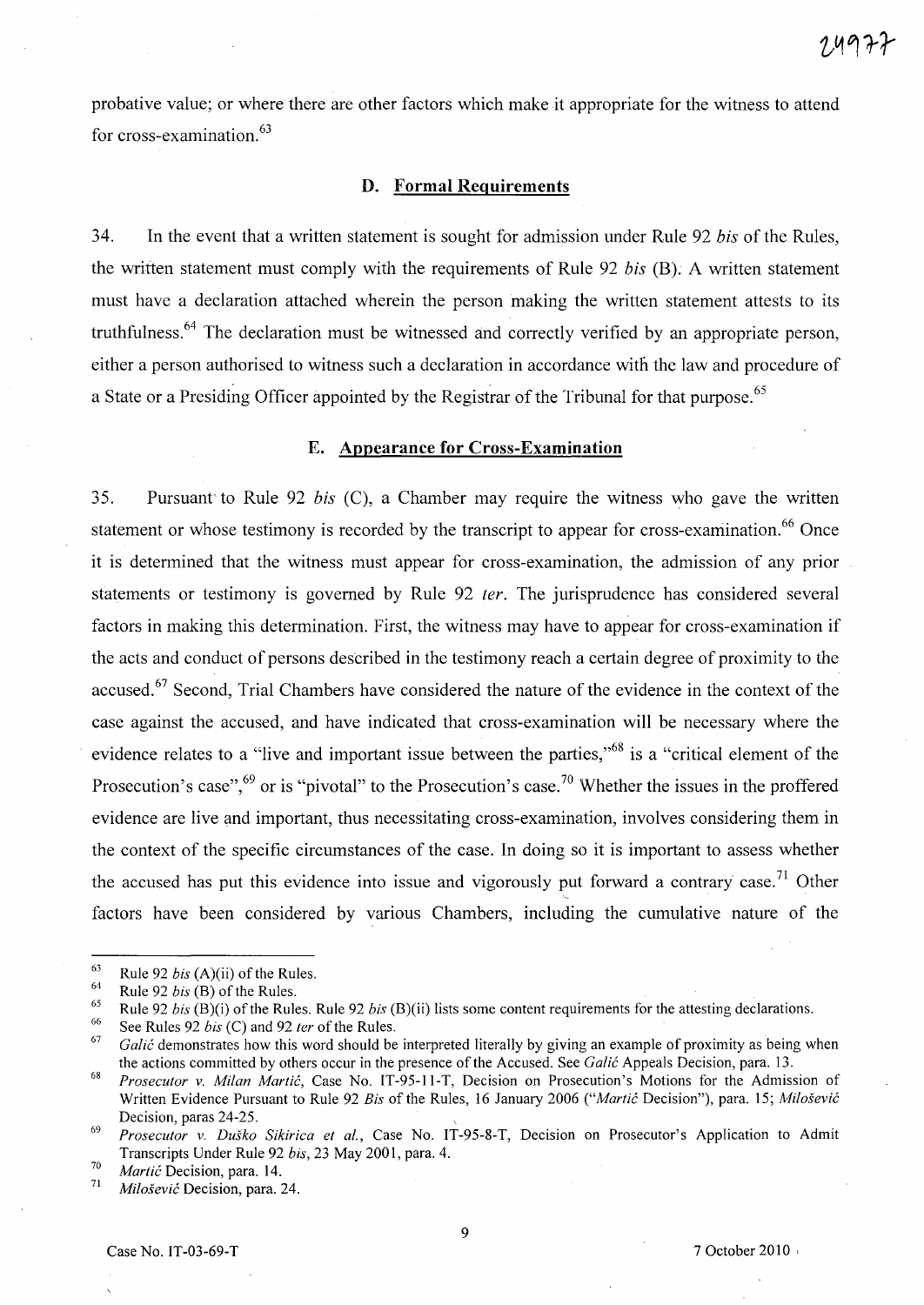probative value; or where there are other factors which make it appropriate for the witness to attend for cross-examination.<sup>63</sup>

# **D. Formal Requirements**

34. In the event that a written statement is sought for admission under Rule 92 *bis* of the Rules, the written statement must comply with the requirements of Rule 92 *bis* (B). A written statement must have a declaration attached wherein the person making the written statement attests to its truthfulness. 64 The declaration must be witnessed and correctly verified by an appropriate person, either a person authorised to witness such a declaration in accordance with the law and procedure of a State or a Presiding Officer appointed by the Registrar of the Tribunal for that purpose. <sup>65</sup>

## E. **Appearance for Cross-Examination**

35. Pursuant'to Rule 92 *bis* CC), a Chamber may require the witness who gave the written statement or whose testimony is recorded by the transcript to appear for cross-examination.<sup>66</sup> Once it is determined that the witness must appear for cross-examination, the admission of any prior statements or testimony is governed by Rule 92 fer. The jurisprudence has considered several factors in making this determination. First, the witness may have to appear for cross-examination if the acts and conduct of persons described in the testimony reach a certain degree of proximity to the accused.<sup>67</sup> Second, Trial Chambers have considered the nature of the evidence in the context of the case against the accused, and have indicated that cross-examination will be necessary where the evidence relates to a "live and important issue between the parties,"<sup>68</sup> is a "critical element of the Prosecution's case",<sup>69</sup> or is "pivotal" to the Prosecution's case.<sup>70</sup> Whether the issues in the proffered evidence are live and important, thus necessitating cross-examination, involves considering them in the context of the specific circumstances of the case. In doing so it is important to assess whether the accused has put this evidence into issue and vigorously put forward a contrary case.<sup>71</sup> Other factors have been considered by various Chambers, including the cumulative nature of the

<sup>63</sup>  Rule 92 *his* (A)(ii) of the Rules.

<sup>64</sup>  Rule 92 *his* (B) of the Rules.

<sup>65</sup>  Rule 92 *his* (B)(i) of the Rules. Rule 92 *his* (B)(ii) lists some content requirements for the attesting declarations.

<sup>66</sup>  See Rules 92 *his* (C) and 92 *ter* of the Rules.

<sup>67</sup>  *Galić* demonstrates how this word should be interpreted literally by giving an example of proximity as being when the actions committed by others occur in the presence of the Accused. See *Ga/ic* Appeals Decision, para. 13.

<sup>68</sup>  *Prosecutor v. Milan Martić*, Case No. IT-95-11-T, Decision on Prosecution's Motions for the Admission of Written Evidence Pursuant to Rule 92 *Bis* of the Rules, 16 January 2006 *("Martic* Decision"), para. 15; *Milosevic*  Decision, paras 24-25.

*<sup>69</sup> Prosecutor* v. *Dusko Sikirica et ai.,* Case No. IT-95-8-T, Decision on Prosecutor's Application to Admit Transcripts Under Rule 92 *his,* 23 May 2001, para. 4.

*<sup>70</sup> Martic* Decision, para. 14. 71 *Milosevic* Decision, para. 24.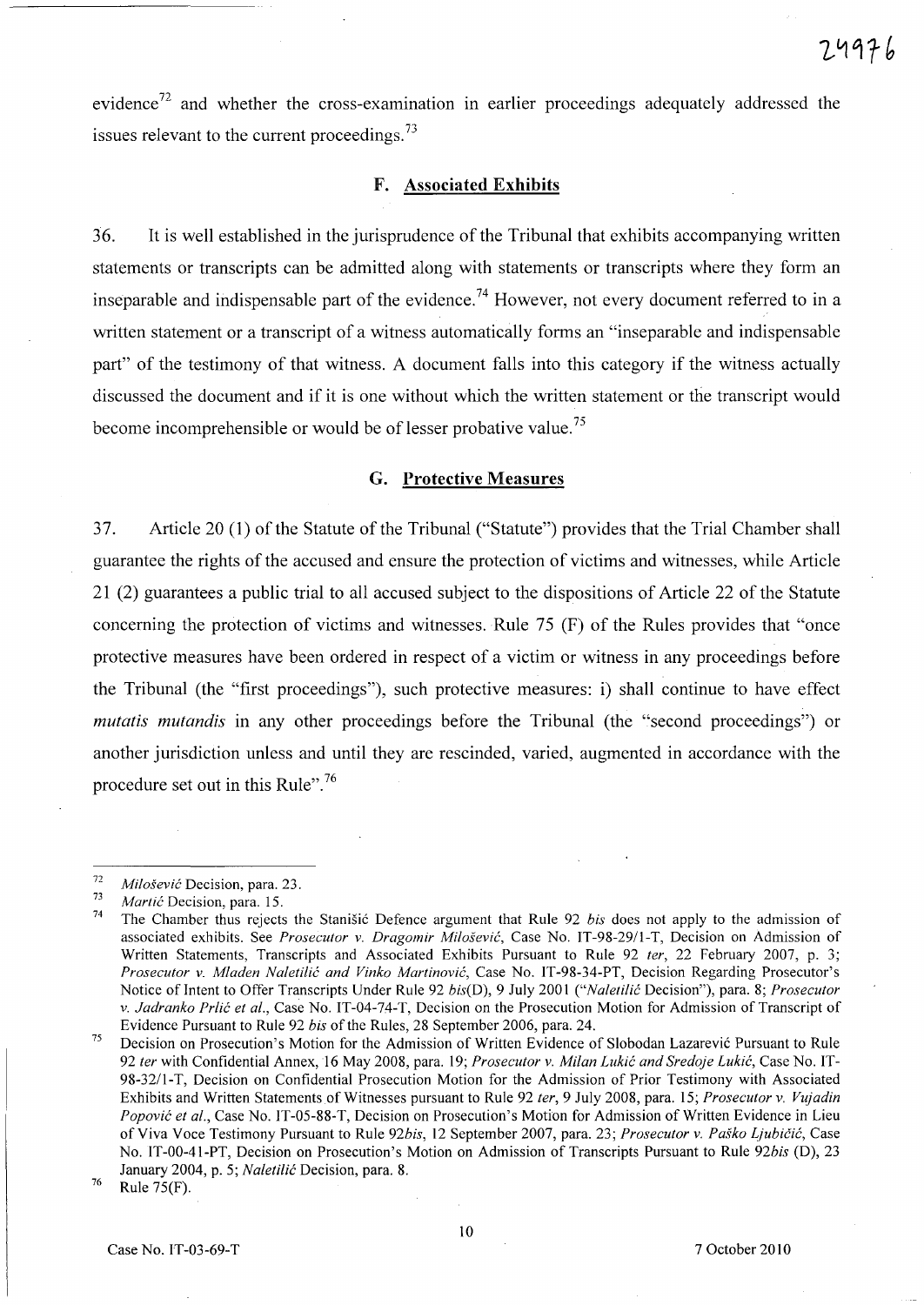evidence<sup>72</sup> and whether the cross-examination in earlier proceedings adequately addressed the issues relevant to the current proceedings.<sup>73</sup>

## F. Associated Exhibits

36. It is well established in the jurisprudence of the Tribunal that exhibits accompanying written statements or transcripts can be admitted along with statements or transcripts where they form an inseparable and indispensable part of the evidence.<sup>74</sup> However, not every document referred to in a written statement or a transcript of a witness automatically forms an "inseparable and indispensable part" of the testimony of that witness. A document falls into this category if the witness actually discussed the document and if it is one without which the written statement or the transcript would become incomprehensible or would be of lesser probative value.<sup>75</sup>

#### G. Protective Measures

37. Article 20 (1) of the Statute of the Tribunal ("Statute") provides that the Trial Chamber shall guarantee the rights of the accused and ensure the protection of victims and witnesses, while Article 21 (2) guarantees a public trial to all accused subject to the dispositions of Article 22 of the Statute concerning the protection of victims and witnesses. Rule 75 (F) of the Rules provides that "once protective measures have been ordered in respect of a victim or witness in any proceedings before the Tribunal (the "first proceedings"), such protective measures: i) shall continue to have effect *mutatis mutandis* in any other proceedings before the Tribunal (the "second proceedings") or another jurisdiction unless and until they are rescinded, varied, augmented in accordance with the procedure set out in this Rule".<sup>76</sup>

<sup>72</sup>  *Milosevic* Decision, para. 23.

<sup>73</sup>  *Martic* Decision, para. 15.

<sup>74</sup>  The Chamber thus rejects the Stanisic Defence argument that Rule 92 *bis* does not apply to the admission of associated exhibits. See *Prosecutor* v. *Dragomir Milosevic,* Case No. TT-98-29/1-T, Decision on Admission of Written Statements, Transcripts and Associated Exhibits Pursuant to Rule 92 *ter,* 22 February 2007, p. 3; *Prosecutor* v. *Mladen Naletilic and Vinko Martinovic,* Case No. IT-98-34-PT, Decision Regarding Prosecutor's Notice of Intent to Offer Transcripts Under Rule 92 *bis(D), 9 July 2001 ("Naletilić Decision")*, para. 8; *Prosecutor* v. *Jadranko Prlic et al.,* Case No. IT-04-74-T, Decision on the Prosecution Motion for Admission of Transcript of Evidence Pursuant to Rule 92 *bis* of the Rules, 28 September 2006, para. 24.

<sup>75</sup>  Decision on Prosecution's Motion for the Admission of Written Evidence of Slobodan Lazarevic Pursuant to Rule *92 ter* with Confidential Annex,16 May 2008, para. 19; *Prosecutor* v. *Milan Lukic and Sredoje Lukic,* Case No. IT-98-32/1-T, Decision on Confidential Prosecution Motion for the Admission of Prior Testimony with Associated Exhibits and Written Statements of Witnesses pursuant to Rule 92 *ter,* 9 July 2008, para. *IS; Prosecutor* v. *Vujadin Popovic et al.,* Case No. TT-OS-88-T, Decision on Prosecution's Motion for Admission of Written Evidence in Lieu of Viva Voce Testimony Pursuant to Rule 92bis, 12 September 2007, para. 23; *Prosecutor v. Paško Ljubičić*, Case No. IT-00-41-PT, Decision on Prosecution's Motion on Admission of Transcripts Pursuant to Rule *92bis* (D), 23 January 2004, p. S; *Naletilic* Decision, para. 8.

<sup>76</sup>  Rule 7S(F).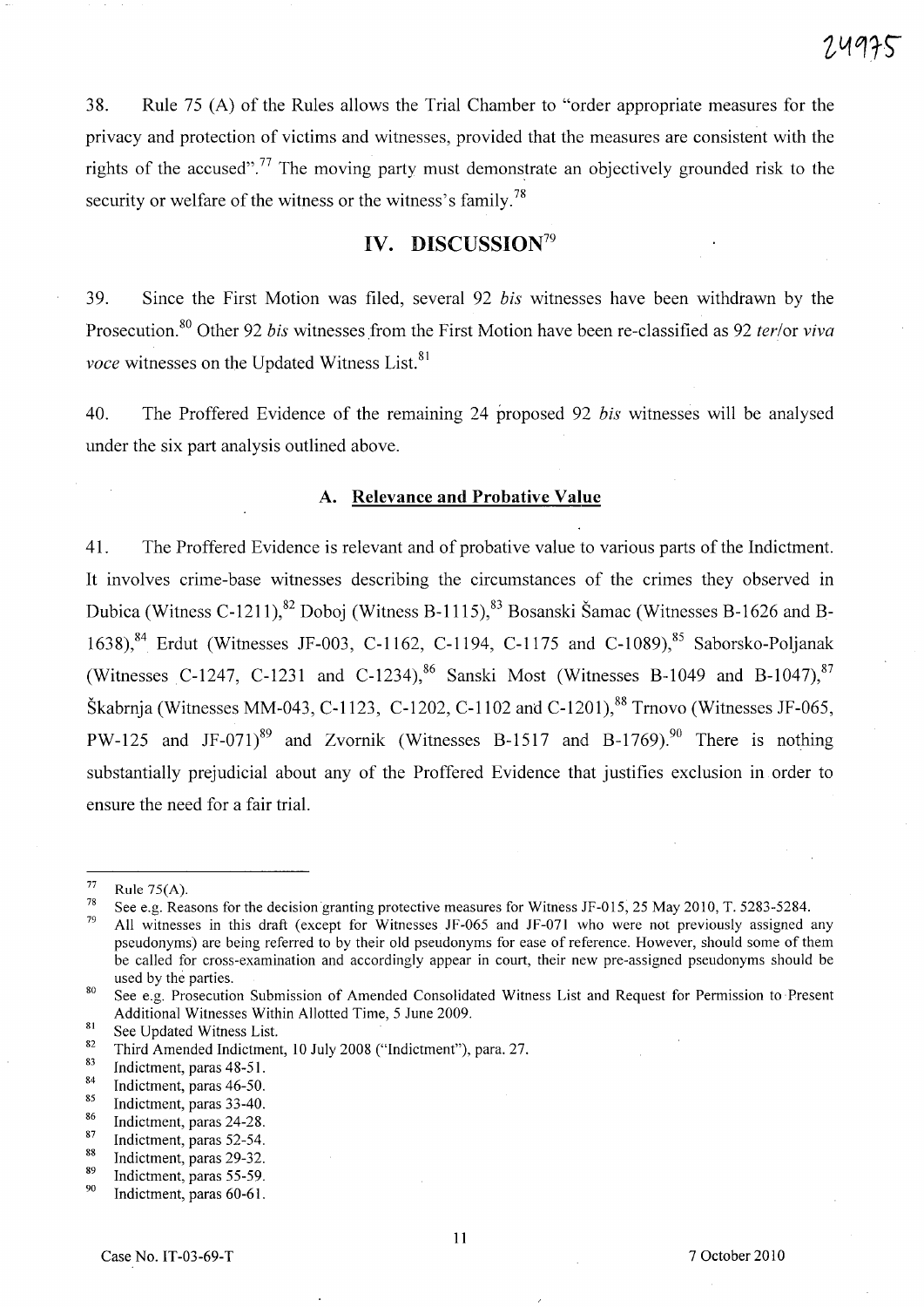38. Rule 75 (A) of the Rules allows the Trial Chamber to "order appropriate measures for the privacy and protection of victims and witnesses, provided that the measures are consistent with the rights of the accused".<sup>77</sup> The moving party must demonstrate an objectively grounded risk to the security or welfare of the witness or the witness's family.<sup>78</sup>

# **IV. DISCUSSION79**

39. Since the First Motion was filed, several 92 *his* witnesses have been withdrawn by the Prosecution.8o Other 92 *his* witnesses from the First Motion have been re-classified as 92 *ter/or viva voce* witnesses on the Updated Witness List.<sup>81</sup>

40. The Proffered Evidence of the remaining 24 proposed 92 *his* witnesses will be analysed under the six part analysis outlined above.

#### **A. Relevance and Probative Value**

41. The Proffered Evidence is relevant and of probative value to various parts of the Indictment. It involves crime-base witnesses describing the circumstances of the crimes they observed in Dubica (Witness C-1211),<sup>82</sup> Doboj (Witness B-1115),<sup>83</sup> Bosanski Šamac (Witnesses B-1626 and B-1638),<sup>84</sup> Erdut (Witnesses JF-003, C-1162, C-1194, C-1175 and C-1089),<sup>85</sup> Saborsko-Poljanak (Witnesses C-1247, C-1231 and C-1234),  $86$  Sanski Most (Witnesses B-1049 and B-1047),  $87$ Škabrnia (Witnesses MM-043, C-1123, C-1202, C-1102 and C-1201),  $88$  Trnovo (Witnesses JF-065, PW-125 and JF-071)<sup>89</sup> and Zvornik (Witnesses B-1517 and B-1769).<sup>90</sup> There is nothing substantially prejudicial about any of the Proffered Evidence that justifies exclusion in order to ensure the need for a fair trial.

<sup>77</sup>  Rule 7S(A).

<sup>78</sup>  See e.g. Reasons for the decision granting protective measures for Witness JF-015, 25 May 2010, T. 5283-5284.

<sup>79</sup>  All witnesses in this draft (except for Witnesses JF -065 and JF-071 who were not previously assigned any pseudonyms) are being referred to by their old pseudonyms for ease of reference. However, should some of them be called for cross-examination and accordingly appear in court, their new pre-assigned pseudonyms should be used by the parties.

<sup>80</sup>  See e.g. Prosecution Submission of Amended Consolidated Witness List and Request for Permission to Present Additional Witnesses Within Allotted Time, 5 June 2009.

<sup>81</sup>  See Updated Witness List.

<sup>82</sup>  Third Amended Indictment, 10 July 2008 ("Indictment"), para. 27.

<sup>83</sup>  Indictment, paras 48-51.

<sup>84</sup>  Indictment, paras 46-50.

<sup>85</sup>  Indictment, paras 33-40.

<sup>86</sup>  Indictment, paras 24-28.

<sup>87</sup>  Indictment, paras 52-54.

<sup>88</sup>  Indictment, paras 29-32.

<sup>89</sup>  Indictment, paras 55-59.

<sup>90</sup>  Indictment, paras 60-61.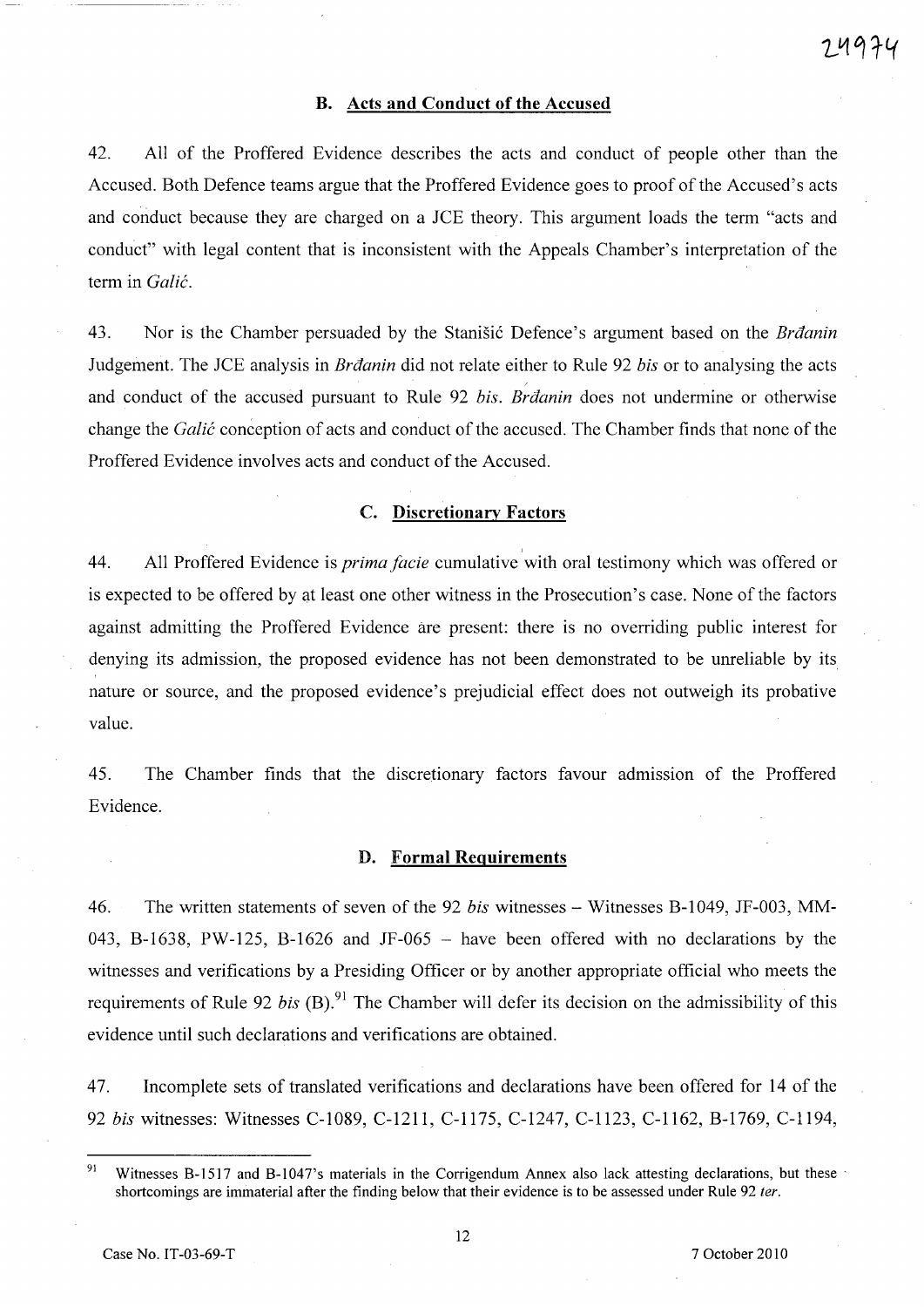## **B. Acts and Conduct of the Accused**

42. All of the Proffered Evidence describes the acts and conduct of people other than the Accused. Both Defence teams argue that the Proffered Evidence goes to proof of the Accused's acts and conduct because they are charged on a JCE theory. This argument loads the term "acts and conduct" with legal content that is inconsistent with the Appeals Chamber's interpretation of the term in *Galic.* 

43. Nor is the Chamber persuaded by the Stanišić Defence's argument based on the *Brdanin* Judgement. The JCE analysis in *Brtlanin* did not relate either to Rule 92 *bis* or to analysing the acts and conduct of the accused pursuant to Rule 92 *bis. Brdanin* does not undermine or otherwise change the *Galic* conception of acts and conduct of the accused. The Chamber finds that none of the Proffered Evidence involves acts and conduct of the Accused.

# C. **Discretionary Factors**

44. All Proffered Evidence is *prima facie* cumulative with oral testimony which was offered or is expected to be offered by at least one other witness in the Prosecution's case. None of the factors against admitting the Proffered Evidence are present: there is no overriding public interest for denying its admission, the proposed evidence has not been demonstrated to be unreliable by its nature or source, and the proposed evidence's prejudicial effect does not outweigh its probative value.

45. The Chamber finds that the discretionary factors favour admission of the Proffered Evidence.

#### **D. Formal Requirements**

46. The written statements of seven of the 92 *bis* witnesses - Witnesses B-1049, JF-003, MM-043, B-1638, PW-125, B-1626 and JF-065 - have been offered with no declarations by the witnesses and verifications by a Presiding Officer or by another appropriate official who meets the requirements of Rule 92 *bis* (B).<sup>91</sup> The Chamber will defer its decision on the admissibility of this evidence until such declarations and verifications are obtained.

47. Incomplete sets of translated verifications and declarations have been offered for 14 of the *92 bis* witnesses: Witnesses C-1089, C-1211, C-1175, C-1247, C-1123, C-1162, B-1769, C-1194,

<sup>&</sup>lt;sup>91</sup> Witnesses B-1517 and B-1047's materials in the Corrigendum Annex also lack attesting declarations, but these shortcomings are immaterial after the finding below that their evidence is to be assessed under Rule 92 ter.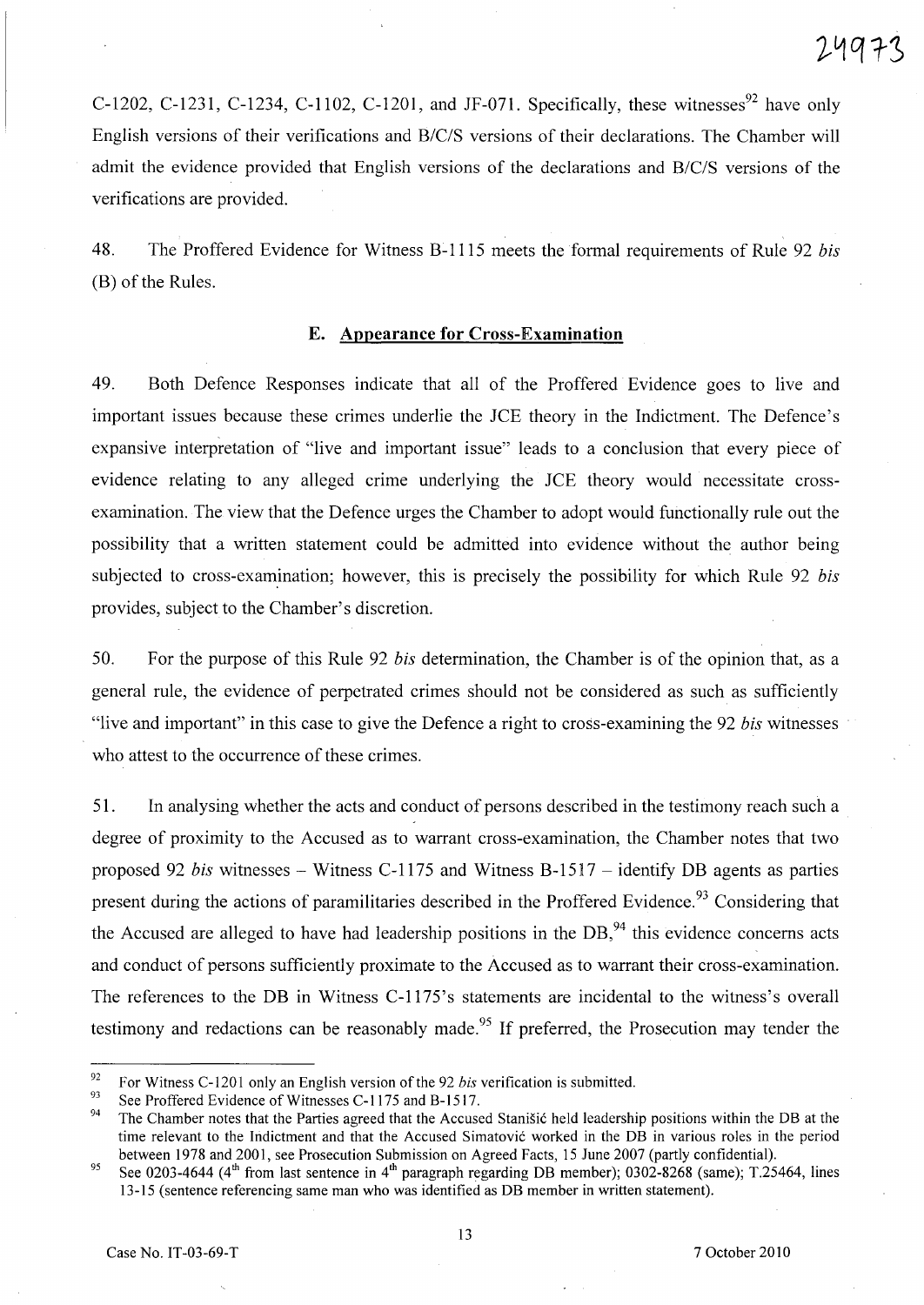C-1202, C-1231, C-1234, C-1102, C-1201, and *JF-071*. Specifically, these witnesses<sup>92</sup> have only English versions of their verifications and *B/C/S* versions of their declarations. The Chamber will admit the evidence provided that English versions of the declarations and *B/C/S* versions of the verifications are provided.

48. The Proffered Evidence for Witness B-1115 meets the formal requirements of Rule 92 *bis*  (B) of the Rules.

#### E. **Appearance for Cross-Examination**

49. Both Defence Responses indicate that all of the Proffered Evidence goes to live and important issues because these crimes underlie the *lCE* theory in the Indictment. The Defence's expansive interpretation of "live and important issue" leads to a conclusion that every piece of evidence relating to any alleged crime underlying the *lCE* theory would necessitate crossexamination. The view that the Defence urges the Chamber to adopt would functionally rule out the possibility that a written statement could be admitted into evidence without the author being subjected to cross-examination; however, this is precisely the possibility for which Rule 92 *bis* provides, subject to the Chamber's discretion.

50. For the purpose of this Rule 92 *bis* determination, the Chamber is of the opinion that, as a general rule, the evidence of perpetrated crimes should not be considered as such as sufficiently "live and important" in this case to give the Defence a right to cross-examining the 92 *bis* witnesses who attest to the occurrence of these crimes.

51. In analysing whether the acts and conduct of persons described in the testimony reach such a degree of proximity to the Accused as to warrant cross-examination, the Chamber notes that two proposed 92 *bis* witnesses - Witness C-1175 and Witness B-1517 - identify DB agents as parties present during the actions of paramilitaries described in the Proffered Evidence.<sup>93</sup> Considering that the Accused are alleged to have had leadership positions in the  $DB<sub>1</sub><sup>94</sup>$  this evidence concerns acts and conduct of persons sufficiently proximate to the Accused as to warrant their cross-examination. The references to the DB in Witness C-1175's statements are incidental to the witness's overall testimony and redactions can be reasonably made.<sup>95</sup> If preferred, the Prosecution may tender the

<sup>92</sup> For Witness C-120l only an English version of the 92 *bis* verification is submitted.

<sup>&</sup>lt;sup>93</sup> See Proffered Evidence of Witnesses C-1175 and B-1517.

The Chamber notes that the Parties agreed that the Accused Stanišić held leadership positions within the DB at the time relevant to the hidictment and that the Accused Simatovic worked in the DB in various roles in the period between 1978 and 2001, see Prosecution Submission on Agreed Facts, 15 June 2007 (partly confidential).

<sup>95</sup> See 0203-4644 ( $4<sup>th</sup>$  from last sentence in  $4<sup>th</sup>$  paragraph regarding DB member); 0302-8268 (same); T.25464, lines 13-15 (sentence referencing same man who was identified as DB member in written statement).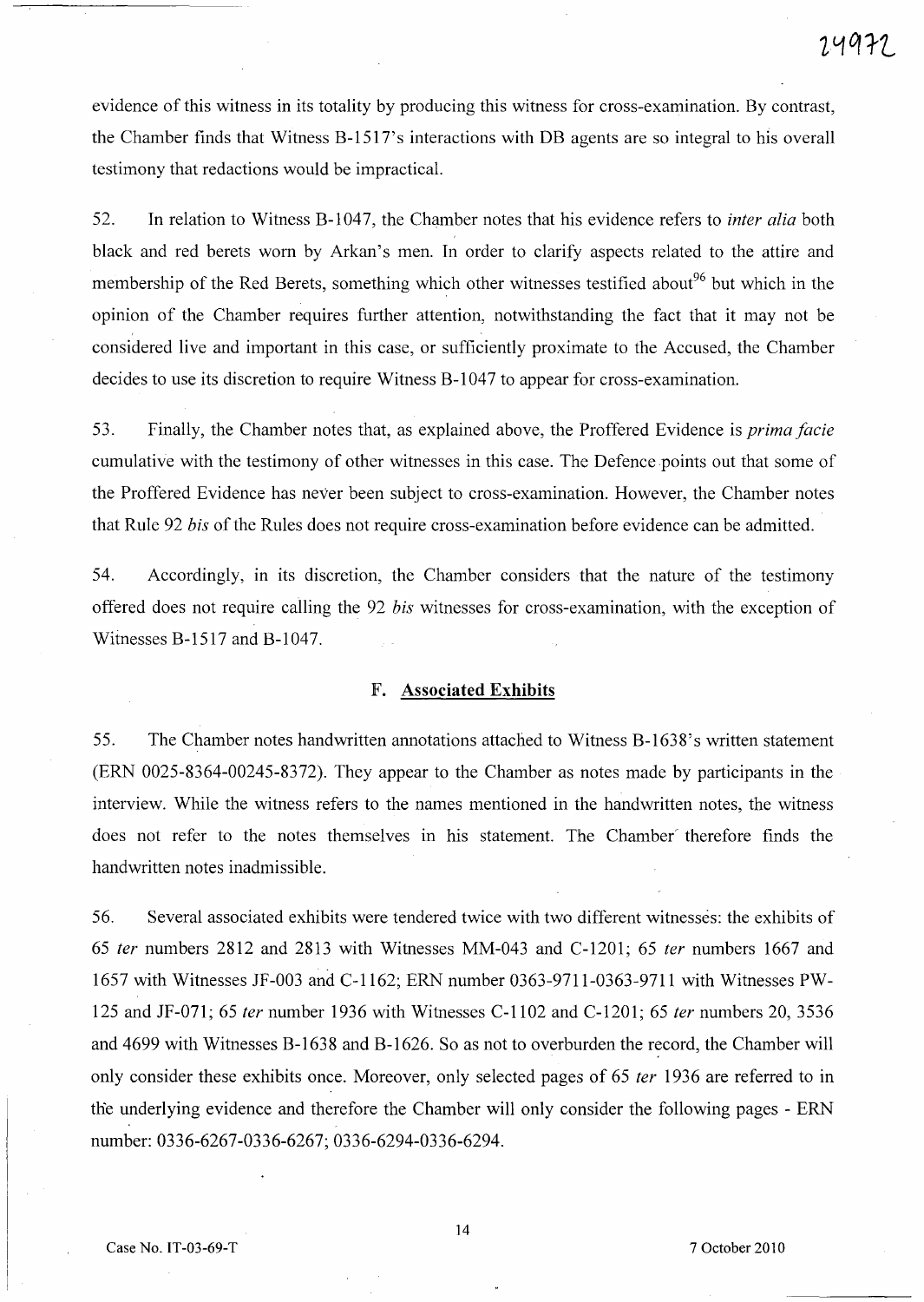evidence of this witness in its totality by producing this witness for cross-examination. By contrast, the Chamber finds that Witness B-1517's interactions with DB agents are so integral to his overall testimony that redactions would be impractical.

52. In relation to Witness B-1 047, the Chamber notes that his evidence refers to *inter alia* both black and red berets worn by Arkan's men. In order to clarify aspects related to the attire and membership of the Red Berets, something which other witnesses testified about<sup>96</sup> but which in the opinion of the Chamber requires further attention, notwithstanding the fact that it may not be considered live and important in this case, or sufficiently proximate to the Accused, the Chamber decides to use its discretion to require Witness B-1047 to appear for cross-examination.

53. Finally, the Chamber notes that, as explained above, the Proffered Evidence is *prima facie*  cumulative with the testimony of other witnesses in this case. The Defence points out that some of the Proffered Evidence has never been subject to cross-examination. However, the Chamber notes that Rule 92 *bis* of the Rules does not require cross-examination before evidence can be admitted.

54. Accordingly, in its discretion, the Chamber considers that the nature of the testimony offered does not require calling the 92 *bis* witnesses for cross-examination, with the exception of Witnesses B-1517 and B-1047.

#### F. **Associated Exhibits**

55. The Chamber notes handwritten annotations attached to Witness B-1638's written statement (ERN 0025-8364-00245-8372). They appear to the Chamber as notes made by participants in the interview. While the witness refers to the names mentioned in the handwritten notes, the witness does not refer to the notes themselves in his statement. The Chamber' therefore finds the handwritten notes inadmissible.

56. Several associated exhibits were tendered twice with two different witnesses: the exhibits of *65 ter* numbers 2812 and 2813 with Witnesses MM-043 and C-1201; 65 *ter* numbers 1667 and 1657 with Witnesses JF-003 and C-1162; ERN number 0363-9711-0363-9711 with Witnesses PW-125 and JF-071; 65 *ter* number 1936 with Witnesses C-1102 and C-1201; 65 *ter* numbers 20,3536 and 4699 with Witnesses B-1638 and B-1626. So as not to overburden the record, the Chamber will only consider these exhibits once. Moreover, only selected pages of 65 *ter* 1936 are referred to in the underlying evidence and therefore the Chamber will only consider the following pages - ERN number: 0336-6267-0336-6267; 0336-6294-0336-6294.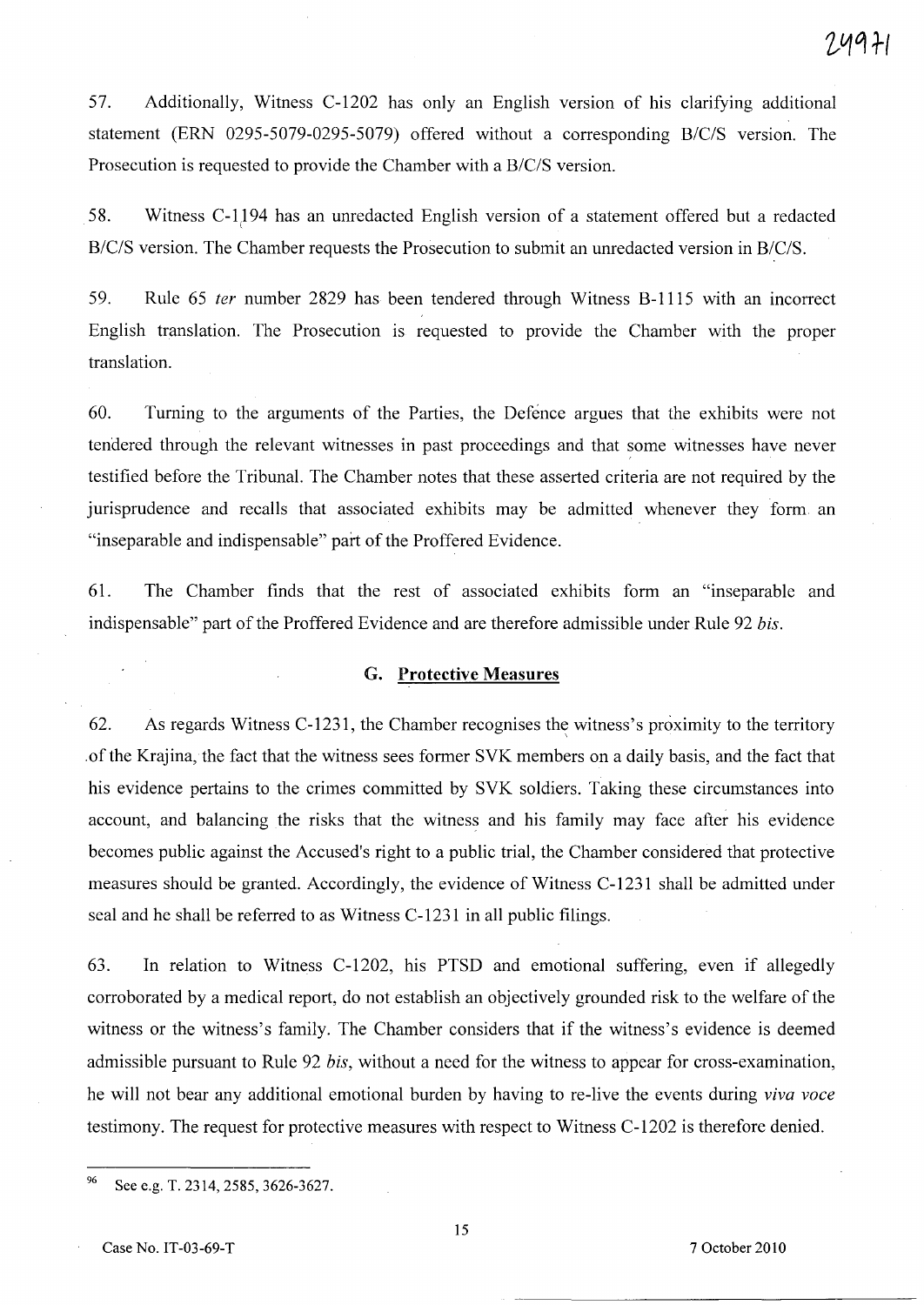57. Additionally, Witness C-1202 has only an English version of his clarifying additional statement (ERN 0295-5079-0295-5079) offered without a corresponding *B/C/S* version. The Prosecution is requested to provide the Chamber with a *B/C/S* version.

58. Witness C-1194 has an unredacted English version of a statement offered but a redacted *B/C/S* version. The Chamber requests the Prosecution to submit an unredacted version in *B/C/S.* 

59. Rule 65 fer number 2829 has been tendered through Witness B-1115 with an incorrect English translation. The Prosecution is requested to provide the Chamber with the proper translation.

60. Turning to the arguments of the Parties, the Defence argues that the exhibits were not tendered through the relevant witnesses in past proceedings and that some witnesses have never testified before the Tribunal. The Chamber notes that these asserted criteria are not required by the jurisprudence and recalls that associated exhibits may be admitted whenever they form an "inseparable and indispensable" part of the Proffered Evidence.

61. The Chamber finds that the rest of associated exhibits form an "inseparable and indispensable" part of the Proffered Evidence and are therefore admissible under Rule 92 *bis.* 

#### **G. Protective Measures**

62. As regards Witness C-1231, the Chamber recognises the witness's proximity to the territory .ofthe Krajina, the fact that the witness sees former SVK members on a daily basis, and the fact that his evidence pertains to the crimes committed by SVK soldiers. Taking these circumstances into account, and balancing the risks that the witness and his family may face after his evidence becomes public against the Accused's right to a public trial, the Chamber considered that protective measures should be granted. Accordingly, the evidence of Witness C-1231 shall be admitted under seal and he shall be referred to as Witness C-1231 in all public filings.

63. In relation to Witness C-1202, his PTSD and emotional suffering, even if allegedly corroborated by a medical report, do not establish an objectively grounded risk to the welfare of the witness or the witness's family. The Chamber considers that if the witness's evidence is deemed admissible pursuant to Rule 92 *bis,* without a need for the witness to appear for cross-examination, he will not bear any additional emotional burden by having to re-live the events during *viva voce*  testimony. The request for protective measures with respect to Witness C-1202 is therefore denied.

<sup>&</sup>lt;sup>96</sup> See e.g. T. 2314, 2585, 3626-3627.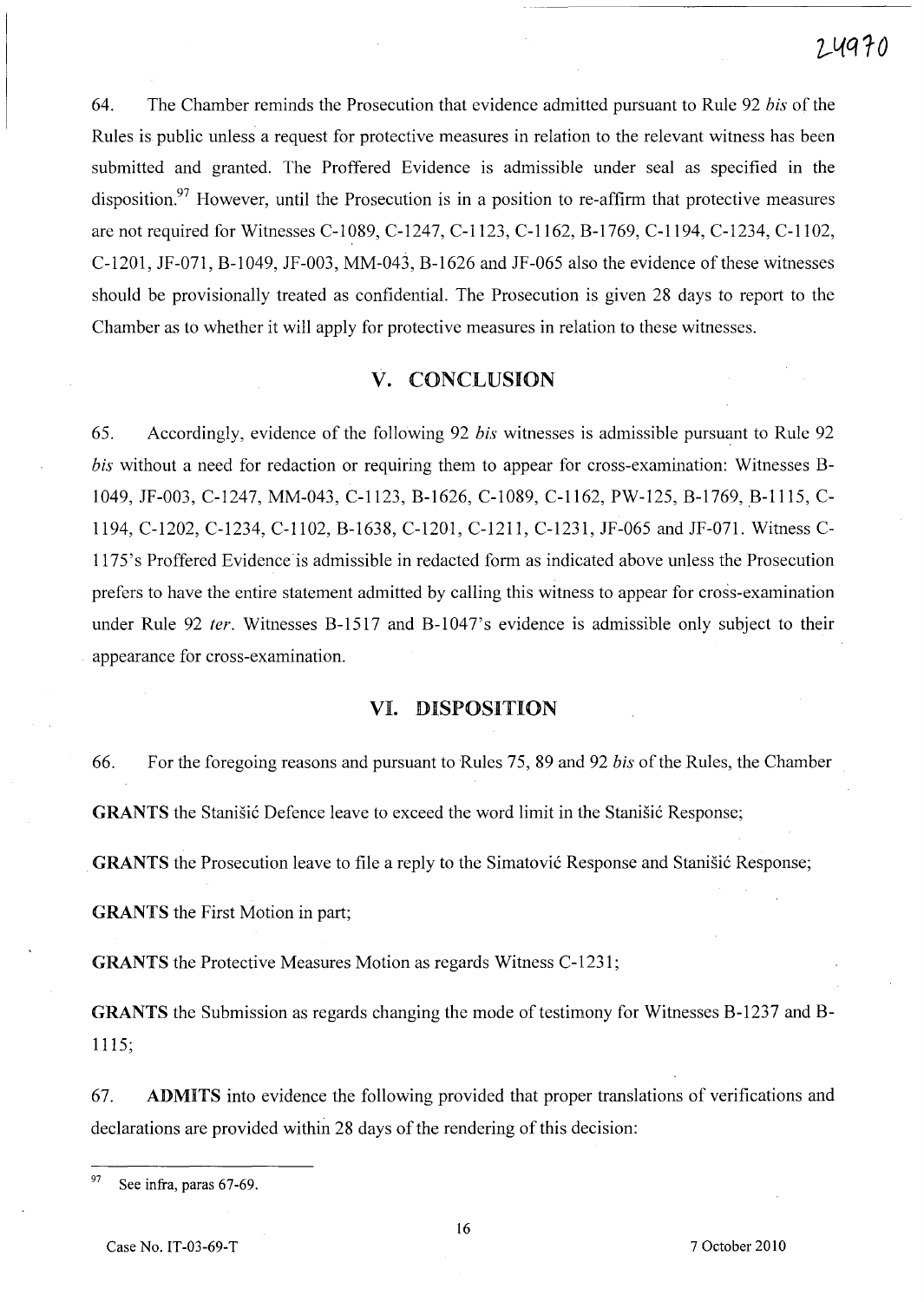64. The Chamber reminds the Prosecution that evidence admitted pursuant to Rule 92 *bis* of the Rules is public unless a request for protective measures in relation to the relevant witness has been submitted and granted. The Proffered Evidence is admissible under seal as specified in the disposition.<sup>97</sup> However, until the Prosecution is in a position to re-affirm that protective measures are not required for Witnesses C-I089, C-1247, C-1123, C-1162, B-1769, C-1194, C-1234, C-I102, C-1201, JF-071, B-I049, JF-003, MM-043, B-1626 and JF-065 also the evidence of these witnesses should be provisionally treated as confidential. The Prosecution is given 28 days to report to the Chamber as to whether it will apply for protective measures in relation to these witnesses.

# **V.** CONCLUSION

65. Accordingly, evidence of the following 92 *bis* witnesses is admissible pursuant to Rule 92 *bis* without a need for redaction or requiring them to appear for cross-examination: Witnesses B-1049, JF-003, C-1247, MM-043, C-1123, B-1626, C-I089, C-1162, PW-125, B-1769, B-1115, C-1194, C-1202, C-1234, C-II02, B-1638, C-1201, C-1211, C-1231, JF-065 and JF-071. Witness C-1175's Proffered Evidence is admissible in redacted form as indicated above unless the Prosecution prefers to have the entire statement admitted by calling this witness to appear for cross-examination under Rule 92 ter. Witnesses B-1517 and B-1047's evidence is admissible only subject to their appearance for cross-examination.

## VI. DISPOSITION

66. For the foregoing reasons and pursuant to Rules 75, 89 and 92 *bis* of the Rules, the Chamber GRANTS the Stanisic Defence leave to exceed the word limit in the Stanisic Response;

GRANTS the Prosecution leave to file a reply to the Simatovic Response and Stanisic Response;

GRANTS the First Motion in part;

GRANTS the Protective Measures Motion as regards Witness C-1231;

GRANTS the Submission as regards changing the mode of testimony for Witnesses B-1237 and B-1115;

67. ADMITS into evidence the following provided that proper translations of verifications and declarations are provided within 28 days of the rendering of this decision:

 $97$  See infra, paras 67-69.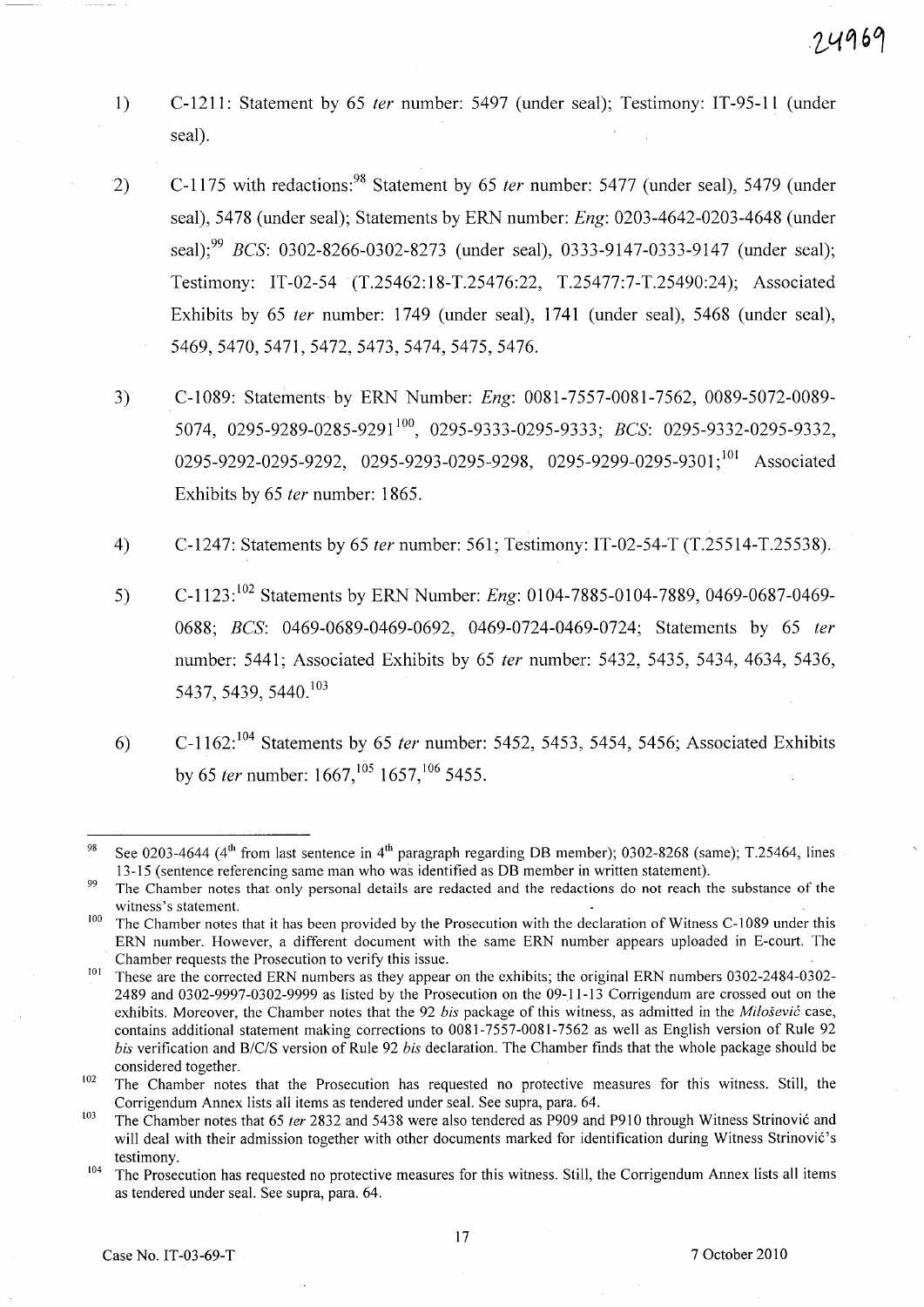- 1) C-1211: Statement by 65 fer number: 5497 (under seal); Testimony: IT-95-11 (under seal).
- 2) C-1175 with redactions:<sup>98</sup> Statement by 65 ter number: 5477 (under seal), 5479 (under seal), 5478 (under seal); Statements by ERN number: *Eng:* 0203-4642-0203-4648 (under seal):<sup>99</sup> *BCS*: 0302-8266-0302-8273 (under seal), 0333-9147-0333-9147 (under seal); Testimony: IT-02-54 (T.25462:18-T.25476:22, T.25477:7-T.25490:24); Associated Exhibits by 65 fer number: 1749 (under seal), 1741 (under seal), 5468 (under seal), 5469,5470,5471,5472,5473,5474,5475,5476.
- 3) C-1089: Statements by ERN Number: *Eng:* 0081-7557-0081-7562, 0089-5072-0089- 5074, 0295-9289-0285-9291 100, 0295-9333-0295-9333; *BCS: 0295-9332-0295-9332,*  0295-9292-0295-9292, 0295-9293-0295-9298, 0295-9299-0295-9301;<sup>101</sup> Associated Exhibits by 65 fer number: 1865.
- 4) C-1247: Statements by 65 fer number: 561; Testimony: IT-02-54-T (T.25514-T.25538).
- 5) C\_1123: 102 Statements by ERN Number: *Eng:* 0104-7885-0104-7889,0469-0687-0469- *0688; BCS:* 0469-0689-0469-0692, 0469-0724-0469-0724; Statements by 65 fer number: 5441; Associated Exhibits by 65 fer number: 5432, 5435, 5434, 4634, 5436, 5437, 5439, 5440. <sup>103</sup>
- 6) C-1162:  $^{104}$  Statements by 65 *ter* number: 5452, 5453, 5454, 5456; Associated Exhibits by 65 *ter* number:  $1667$ ,<sup>105</sup> 1657,<sup>106</sup> 5455.

<sup>&</sup>lt;sup>98</sup> See 0203-4644 (4<sup>th</sup> from last sentence in 4<sup>th</sup> paragraph regarding DB member); 0302-8268 (same); T.25464, lines 13-15 (sentence referencing same man who was identified as DB member in written statement).

<sup>&</sup>lt;sup>99</sup> The Chamber notes that only personal details are redacted and the redactions do not reach the substance of the witness's statement.

<sup>&</sup>lt;sup>100</sup> The Chamber notes that it has been provided by the Prosecution with the declaration of Witness C-1089 under this ERN number. However, a different document with the same ERN number appears uploaded in E-court. The Chamber requests the Prosecution to verify this issue.

<sup>&</sup>lt;sup>101</sup> These are the corrected ERN numbers as they appear on the exhibits; the original ERN numbers 0302-2484-0302-2489 and 0302-9997-0302-9999 as listed by the Prosecution on the 09-11-13 Corrigendum are crossed out on the exhibits. Moreover, the Chamber notes that the 92 *his* package of this witness, as admitted in the *Milosevic* case, contains additional statement making corrections to 0081-7557-0081-7562 as well as English version of Rule 92 *his* verification and *B/c/S* version of Rule 92 *his* declaration. The Chamber finds that the whole package should be considered together.

<sup>&</sup>lt;sup>102</sup> The Chamber notes that the Prosecution has requested no protective measures for this witness. Still, the Corrigendum Annex lists all items as tendered under seal. See supra, para. 64.

<sup>&</sup>lt;sup>103</sup> The Chamber notes that 65 *ter* 2832 and 5438 were also tendered as P909 and P910 through Witness Strinovic and will deal with their admission together with other documents marked for identification during Witness Strinović's testimony.

 $104$  The Prosecution has requested no protective measures for this witness. Still, the Corrigendum Annex lists all items as tendered under seal. See supra, para. 64.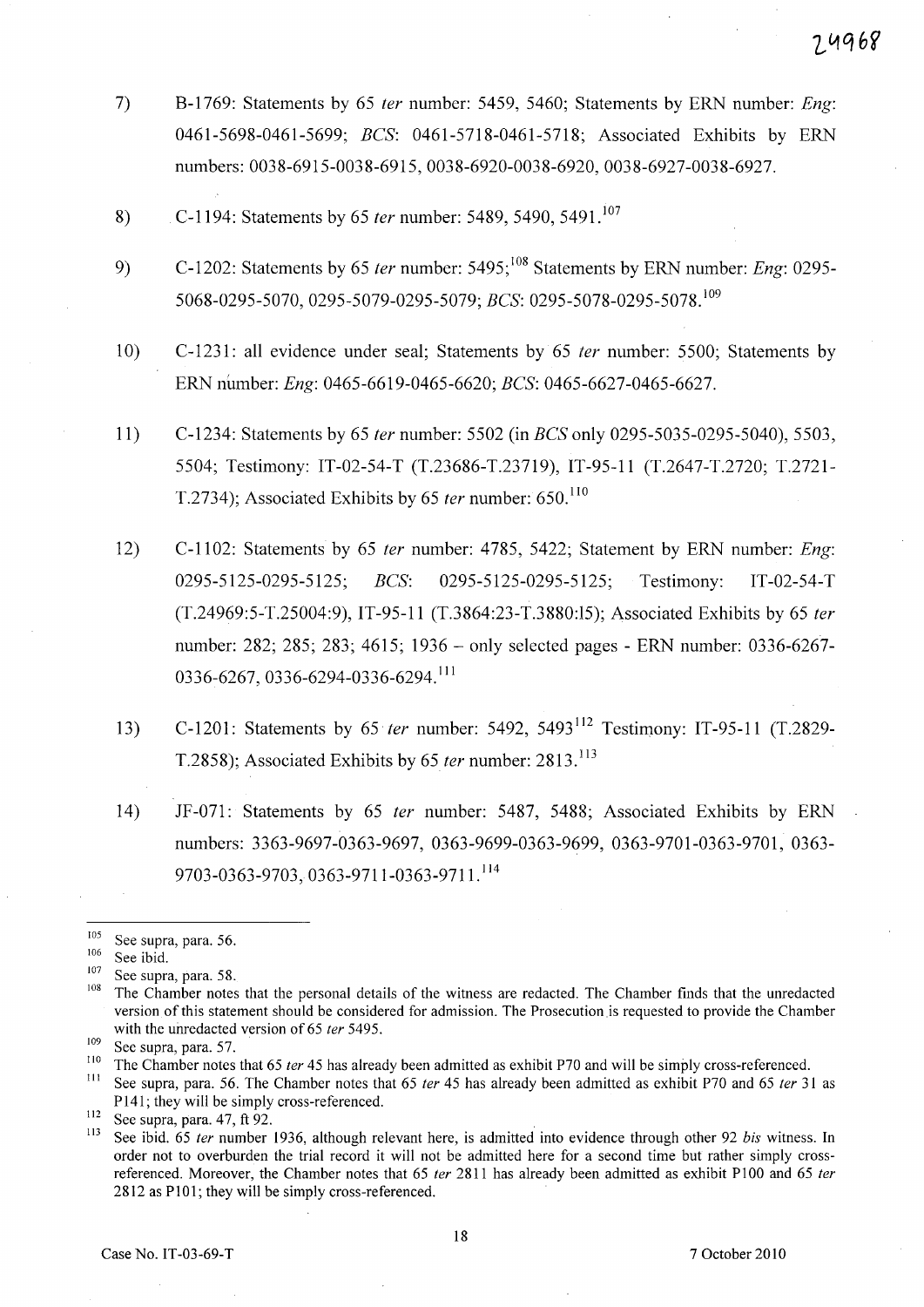- 7) B-1769: Statements by 65 *ter* number: 5459, 5460; Statements by ERN number: *Eng*: *0461-5698-0461-5699; BCS:* 0461-5718-0461-5718; Associated Exhibits by ERN numbers: 0038-6915-0038-6915, 0038-6920-0038-6920, 0038-6927-0038-6927.
- 8) C-1194: Statements by 65 *ter* number: 5489, 5490, 5491.<sup>107</sup>
- 9) C-1202: Statements by 65 *ter* number: 5495;<sup>108</sup> Statements by ERN number: *Eng*: 0295-5068-0295-5070, 0295-5079-0295-5079; *BCS: 0295-5078-0295-5078.* <sup>109</sup>
- 10) C-123l: all evidence under seal; Statements by 65 *fer* number: 5500; Statements by ERN number: *Eng:* 0465-6619-0465-6620; *BCS: 0465-6627-0465-6627.*
- 11) C-1234: Statements by 65 *fer* number: 5502 (in *BCS* only 0295-5035-0295-5040), 5503, 5504; Testimony: IT-02-54-T (T.23686-T.23719), IT-95-11 (T.2647-T.2720; T.2721- T.2734); Associated Exhibits by 65 *ter* number: 650.<sup>110</sup>
- 12) C-II02: Statements by 65 *fer* number: 4785, 5422; Statement by ERN number: *Eng: 0295-5125-0295-5125; BCS:* 0295-5125-0295-5125; Testimony: IT -02-54-T (T.24969:5-T.25004:9), IT-95-11 (T.3864:23-T.3880:15); Associated Exhibits by 65 *(er*  number: 282; 285; 283; 4615; 1936 - only selected pages - ERN number: 0336-6267- 0336-6267,0336-6294-0336-6294. <sup>111</sup>
- 13) C-120l: Statements by 65 *{er* number: 5492, 5493 112 Testimony: IT-95-11 (T.2829- T.2858); Associated Exhibits by 65 *ter* number: 2813.<sup>113</sup>
- 14) JF-07l: Statements by 65 *{er* number: 5487, 5488; Associated Exhibits by ERN numbers: 3363-9697-0363-9697, 0363-9699-0363-9699, 0363-9701-0363-9701, 0363-9703-0363-9703,0363-9711-0363-9711. <sup>114</sup>

 $^{105}$  See supra, para. 56.

 $\frac{106}{107}$  See ibid.

 $\frac{107}{108}$  See supra, para. 58.

The Chamber notes that the personal details of the witness are redacted. The Chamber finds that the unredacted version of this statement should be considered for admission. The Prosecution is requested to provide the Chamber with the unredacted version of 65 ter 5495.

<sup>109</sup> See supra, para. 57.

<sup>&</sup>lt;sup>110</sup> The Chamber notes that 65 *ter* 45 has already been admitted as exhibit P70 and will be simply cross-referenced.<br><sup>111</sup> See supra, para, 56. The Chamber notes that 65 *ter* 45 has already been admitted as ownihit B70

See supra, para. 56. The Chamber notes that 65 ter 45 has already been admitted as exhibit P70 and 65 ter 31 as P141; they will be simply cross-referenced.

 $\frac{112}{113}$  See supra, para. 47, ft 92.

<sup>113</sup> See ibid. 65 fer number 1936, although relevant here, is admitted into evidence through other 92 *bis* witness. In order not to overburden the trial record it will not be admitted here for a second time but rather simply crossreferenced. Moreover, the Chamber notes that 65 ter 2811 has already been admitted as exhibit P100 and 65 ter 2812 as P101; they will be simply cross-referenced.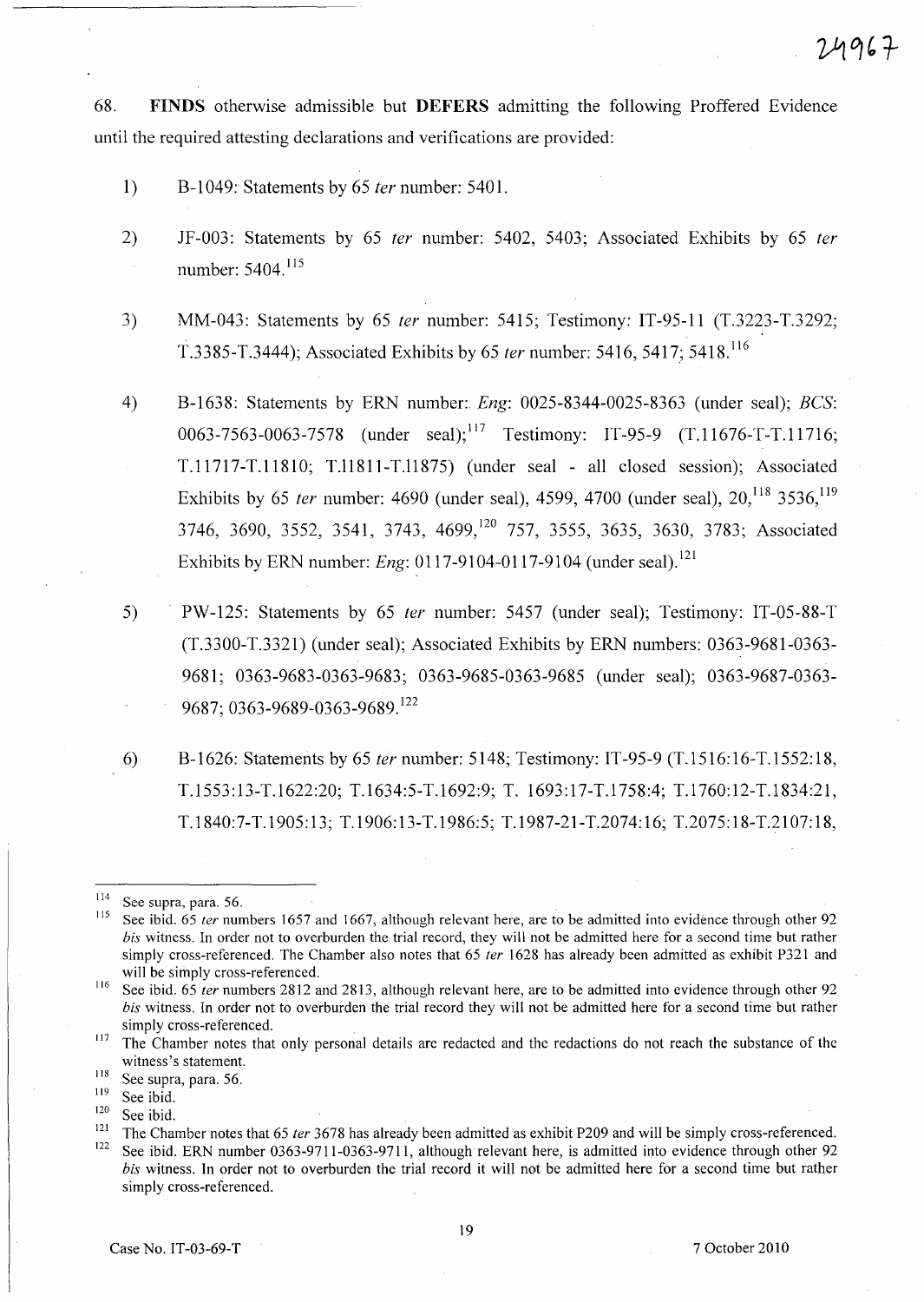68. **FINDS** otherwise admissible but **DEFERS** admitting the following Proffered Evidence until the required attesting declarations and verifications are provided:

- 1) B-1049: Statements by 65 fer number: 5401.
- 2) JF-003: Statements by 65 ter number: 5402, 5403; Associated Exhibits by 65 ter number: 5404. <sup>115</sup>
- 3) MM-043: Statements by 65 fer number: 5415; Testimony: IT-95-11 (T.3223-T.3292; T.3385-T.3444); Associated Exhibits by 65 ter number: 5416, 5417; 5418. <sup>116</sup>
- 4) B-1638: Statements by ERN number:. *Eng:* 0025-8344-0025-8363 (under seal); *BCS:*  0063-7563-0063-7578 (under seal);<sup>117</sup> Testimony: IT-95-9 (T.11676-T-T.11716; T.11717-T.1181 0; T.l1811-T.l1875) (under seal - all closed session); Associated Exhibits by 65 ter number: 4690 (under seal), 4599, 4700 (under seal),  $20^{118}$ , 3536,  $119$ 3746, 3690, 3552, 3541, 3743, 4699,<sup>120</sup> 757, 3555, 3635, 3630, 3783; Associated Exhibits by ERN number: *Eng*: 0117-9104-0117-9104 (under seal).<sup>121</sup>
- 5) PW-125: Statements by 65 ter number: 5457 (under seal); Testimony: IT-05-88-T (T.3300-T.3321) (under seal); Associated Exhibits by ERN numbers: 0363-9681-0363- 9681; 0363-9683-0363-9683; 0363-9685-0363-9685 (under seal); 0363-9687-0363- 9687; 0363-9689-0363-9689. <sup>122</sup>
- 6) B-1626: Statements by 65 ter number: 5148; Testimony: IT -95-9 (T.1516: 16-T.1552: 18, T.1553: 13-T.1622:20; T.1634:5-T.1692:9; T. 1693: 17-T.1758:4; T.1760: 12-T.1834:21, T.1840:7-T.1905: 13; T.1906:13-T.1986:5; T.1987-21-T.2074: 16; T.2075: 18-T.2107: 18,

 $\frac{114}{115}$  See supra, para. 56.

See ibid. 65 ter numbers 1657 and 1667, although relevant here, are to be admitted into evidence through other 92 *his* witness. In order not to overburden the trial record, they will not be admitted here for a second time but rather simply cross-referenced. The Chamber also notes that 65 ter 1628 has already been admitted as exhibit P321 and will be simply cross-referenced.

<sup>&</sup>lt;sup>116</sup> See ibid. 65 *ter* numbers 2812 and 2813, although relevant here, are to be admitted into evidence through other 92 *his* witness. In order not to overburden the trial record they will not be admitted here for a second time but rather simply cross-referenced.

<sup>&</sup>lt;sup>117</sup> The Chamber notes that only personal details are redacted and the redactions do not reach the substance of the witness's statement.

 $\frac{118}{119}$  See supra, para. 56.

 $\frac{119}{120}$  See ibid.

 $\frac{120}{121}$  See ibid.

<sup>&</sup>lt;sup>121</sup> The Chamber notes that 65 *ter* 3678 has already been admitted as exhibit P209 and will be simply cross-referenced.<br><sup>122</sup> See ibid EPM number 0262.0711.0262.0711.elthough relaxant have in admitted inte avidance thro See ibid. ERN number 0363-9711-0363-9711, although relevant here, is admitted into evidence through other 92 *his* witness. In order not to overburden the trial record it will not be admitted here for a second time but rather simply cross-referenced.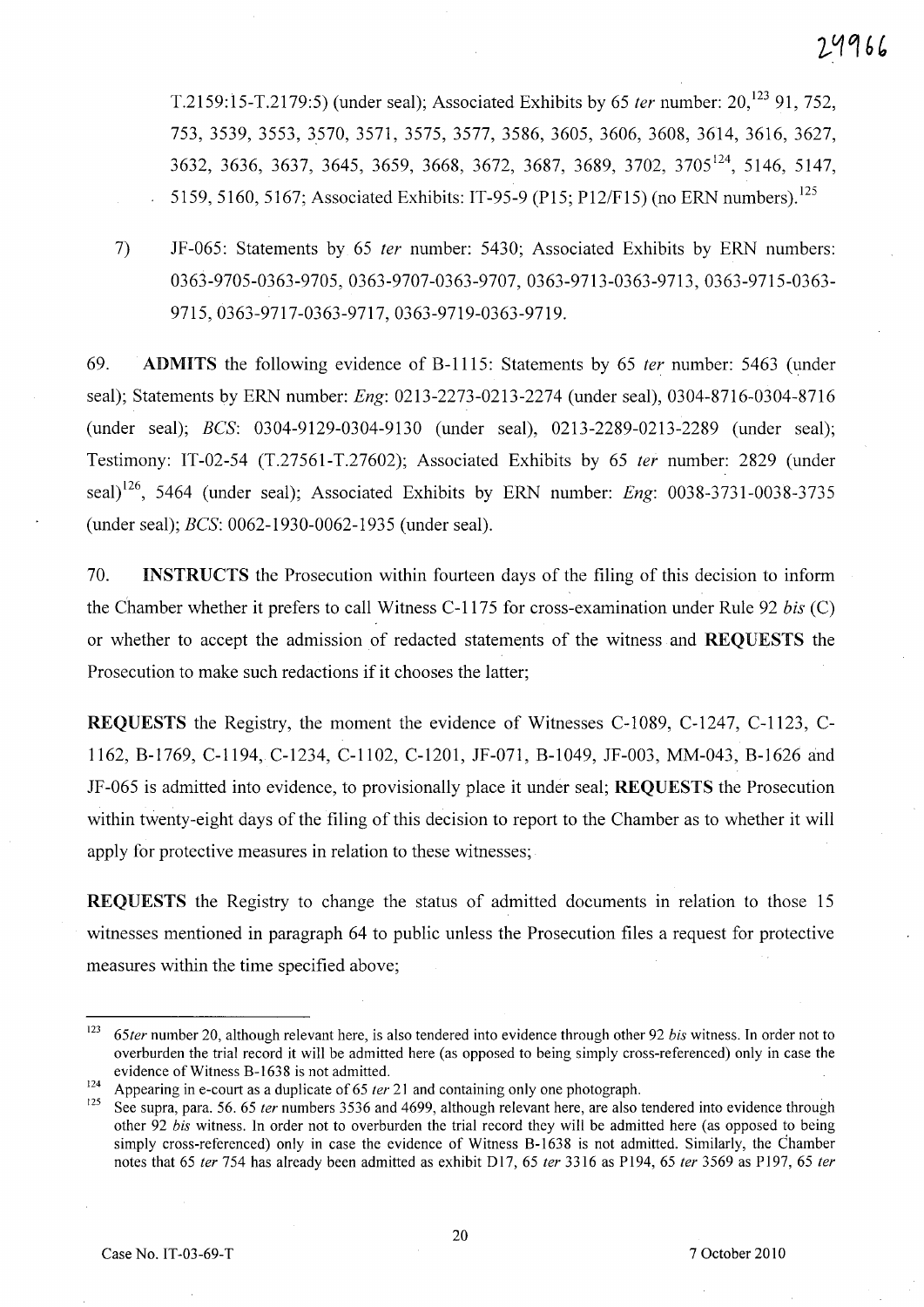T.2159:15-T.2179:5) (under seal); Associated Exhibits by 65 *ter* number:  $20,^{123}$  91, 752, 753, 3539, 3553, 3570, 3571, 3575, 3577, 3586, 3605, 3606, 3608, 3614, 3616, 3627, 3632, 3636, 3637, 3645, 3659, 3668, 3672, 3687, 3689, 3702, 3705 124, 5146, 5147, 5159,5160,5167; Associated Exhibits: IT-95-9 (PI5; *P12/F15)* (no ERN numbers). 125

7) JF-065: Statements by 65 fer number: 5430; Associated Exhibits by ERN numbers: 0363-9705-0363-9705, 0363-9707-0363-9707, 0363-9713-0363-9713, 0363-9715-0363- 9715,0363-9717-0363-9717,0363-9719-0363-9719.

69. ADMITS the following evidence of B-1115: Statements by 65 fer number: 5463 (under seal); Statements by ERN number: *Eng:* 0213-2273-0213-2274 (under seal), 0304-8716-0304-8716 (under seal); *BCS:* 0304-9129-0304-9130 (under seal), 0213-2289-0213-2289 (under seal); Testimony: IT-02-54 (T.27561-T.27602); Associated Exhibits by 65 fer number: 2829 (under seal) 126, 5464 (under seal); Associated Exhibits by ERN number: *Eng: 0038-3731-0038-3735*  (under seal); *BCS:* 0062-1930-0062-1935 (under seal).

70. INSTRUCTS the Prosecution within fourteen days of the filing of this decision to inform the Chamber whether it prefers to call Witness C-1175 for cross-examination under Rule 92 *bis* (C) or whether to accept the admission of redacted statements of the witness and REQUESTS the Prosecution to make such redactions if it chooses the latter;

REQUESTS the Registry, the moment the evidence of Witnesses C-I089, C-1247, C-1123, C-1162, B-1769, C-1194, C-1234, C-II02, C-1201, JF-071, B-I049, JF-003, MM-043, B-1626 and JF-065 is admitted into evidence, to provisionally place it under seal; REQUESTS the Prosecution within twenty-eight days of the filing of this decision to report to the Chamber as to whether it will apply for protective measures in relation to these witnesses;

REQUESTS the Registry to change the status of admitted documents in relation to those 15 witnesses mentioned in paragraph 64 to public unless the Prosecution files a request for protective measures within the time specified above;

24966

*<sup>123 65</sup>ter* number 20, although relevant here, is also tendered into evidence through other 92 *his* witness. In order not to overburden the trial record it will be admitted here (as opposed to being simply cross-referenced) only in case the evidence of Witness B-1638 is not admitted.

<sup>124</sup> Appearing in e-court as a duplicate of 65 *ler* 21 and containing only one photograph.<br>
125 See summa now 56 65 *december 3526 and 4600* elthough relevant have an also in

<sup>125</sup> See supra, para. 56. 65 *ter* numbers 3536 and 4699, although relevant here, are also tendered into evidence through other 92 *his* witness. In order not to overburden the trial record they will be admitted here (as opposed to being simply cross-referenced) only in case the evidence of Witness B-1638 is not admitted. Similarly, the Chamber notes that 65 *ler* 754 has already been admitted as exhibit DJ7, 65 *ter* 3316 as P194, 65 *fer* 3569 as P197, 65 *ler*